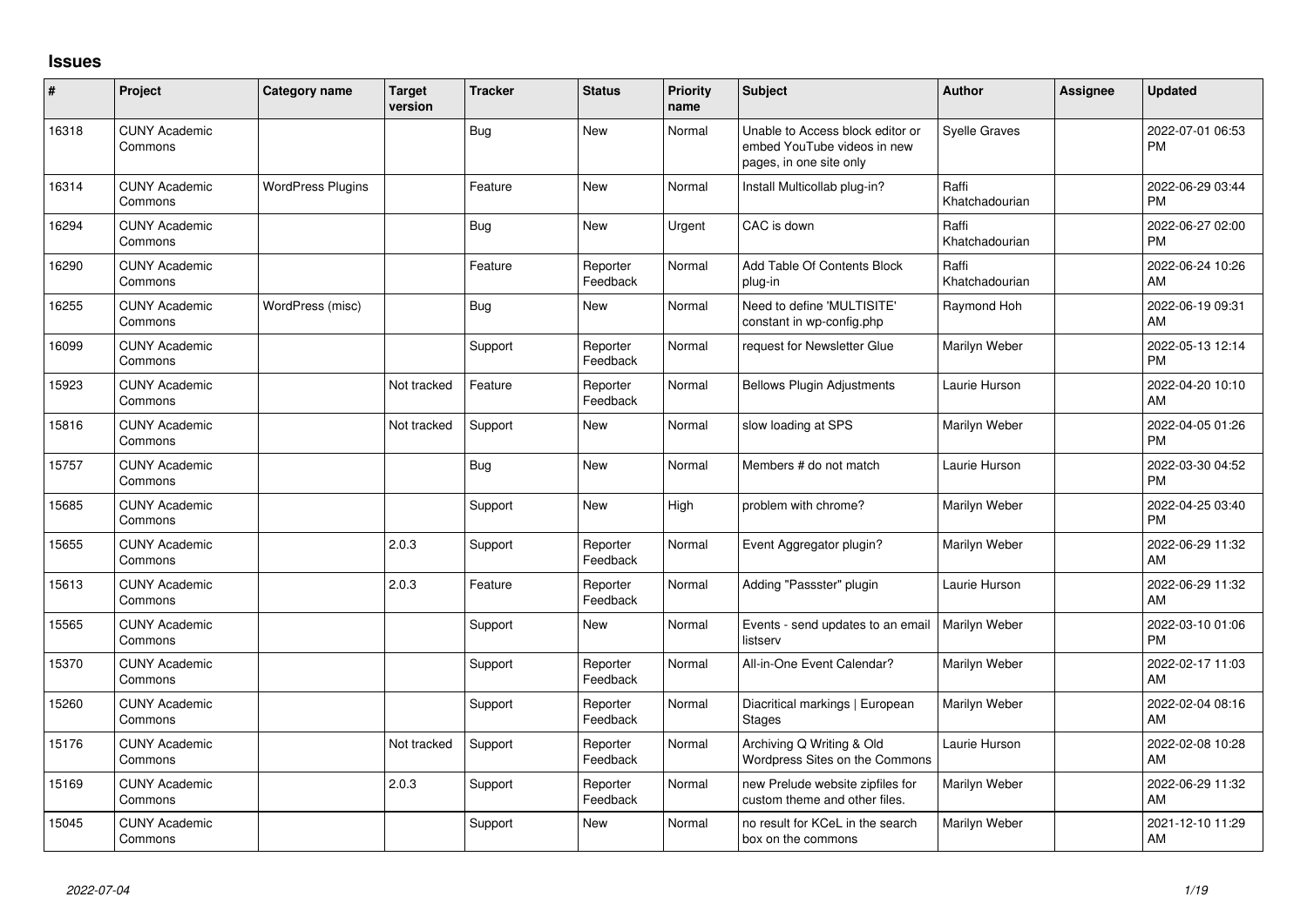## **Issues**

| #     | Project                         | Category name            | <b>Target</b><br>version | <b>Tracker</b> | <b>Status</b>        | <b>Priority</b><br>name | <b>Subject</b>                                                                             | Author                  | <b>Assignee</b> | <b>Updated</b>                |
|-------|---------------------------------|--------------------------|--------------------------|----------------|----------------------|-------------------------|--------------------------------------------------------------------------------------------|-------------------------|-----------------|-------------------------------|
| 16318 | <b>CUNY Academic</b><br>Commons |                          |                          | Bug            | <b>New</b>           | Normal                  | Unable to Access block editor or<br>embed YouTube videos in new<br>pages, in one site only | <b>Syelle Graves</b>    |                 | 2022-07-01 06:53<br><b>PM</b> |
| 16314 | <b>CUNY Academic</b><br>Commons | <b>WordPress Plugins</b> |                          | Feature        | <b>New</b>           | Normal                  | Install Multicollab plug-in?                                                               | Raffi<br>Khatchadourian |                 | 2022-06-29 03:44<br><b>PM</b> |
| 16294 | <b>CUNY Academic</b><br>Commons |                          |                          | Bug            | <b>New</b>           | Urgent                  | CAC is down                                                                                | Raffi<br>Khatchadourian |                 | 2022-06-27 02:00<br><b>PM</b> |
| 16290 | <b>CUNY Academic</b><br>Commons |                          |                          | Feature        | Reporter<br>Feedback | Normal                  | Add Table Of Contents Block<br>plug-in                                                     | Raffi<br>Khatchadourian |                 | 2022-06-24 10:26<br>AM        |
| 16255 | <b>CUNY Academic</b><br>Commons | WordPress (misc)         |                          | Bug            | <b>New</b>           | Normal                  | Need to define 'MULTISITE'<br>constant in wp-config.php                                    | Raymond Hoh             |                 | 2022-06-19 09:31<br>AM        |
| 16099 | <b>CUNY Academic</b><br>Commons |                          |                          | Support        | Reporter<br>Feedback | Normal                  | request for Newsletter Glue                                                                | Marilyn Weber           |                 | 2022-05-13 12:14<br><b>PM</b> |
| 15923 | <b>CUNY Academic</b><br>Commons |                          | Not tracked              | Feature        | Reporter<br>Feedback | Normal                  | <b>Bellows Plugin Adjustments</b>                                                          | Laurie Hurson           |                 | 2022-04-20 10:10<br>AM        |
| 15816 | <b>CUNY Academic</b><br>Commons |                          | Not tracked              | Support        | New                  | Normal                  | slow loading at SPS                                                                        | Marilyn Weber           |                 | 2022-04-05 01:26<br><b>PM</b> |
| 15757 | <b>CUNY Academic</b><br>Commons |                          |                          | Bug            | <b>New</b>           | Normal                  | Members # do not match                                                                     | Laurie Hurson           |                 | 2022-03-30 04:52<br><b>PM</b> |
| 15685 | <b>CUNY Academic</b><br>Commons |                          |                          | Support        | <b>New</b>           | High                    | problem with chrome?                                                                       | Marilyn Weber           |                 | 2022-04-25 03:40<br><b>PM</b> |
| 15655 | <b>CUNY Academic</b><br>Commons |                          | 2.0.3                    | Support        | Reporter<br>Feedback | Normal                  | Event Aggregator plugin?                                                                   | Marilyn Weber           |                 | 2022-06-29 11:32<br>AM        |
| 15613 | <b>CUNY Academic</b><br>Commons |                          | 2.0.3                    | Feature        | Reporter<br>Feedback | Normal                  | Adding "Passster" plugin                                                                   | Laurie Hurson           |                 | 2022-06-29 11:32<br>AM        |
| 15565 | <b>CUNY Academic</b><br>Commons |                          |                          | Support        | New                  | Normal                  | Events - send updates to an email<br>listserv                                              | Marilyn Weber           |                 | 2022-03-10 01:06<br><b>PM</b> |
| 15370 | <b>CUNY Academic</b><br>Commons |                          |                          | Support        | Reporter<br>Feedback | Normal                  | All-in-One Event Calendar?                                                                 | Marilyn Weber           |                 | 2022-02-17 11:03<br>AM        |
| 15260 | <b>CUNY Academic</b><br>Commons |                          |                          | Support        | Reporter<br>Feedback | Normal                  | Diacritical markings   European<br><b>Stages</b>                                           | Marilyn Weber           |                 | 2022-02-04 08:16<br>AM        |
| 15176 | <b>CUNY Academic</b><br>Commons |                          | Not tracked              | Support        | Reporter<br>Feedback | Normal                  | Archiving Q Writing & Old<br>Wordpress Sites on the Commons                                | Laurie Hurson           |                 | 2022-02-08 10:28<br>AM        |
| 15169 | <b>CUNY Academic</b><br>Commons |                          | 2.0.3                    | Support        | Reporter<br>Feedback | Normal                  | new Prelude website zipfiles for<br>custom theme and other files.                          | Marilyn Weber           |                 | 2022-06-29 11:32<br>AM        |
| 15045 | <b>CUNY Academic</b><br>Commons |                          |                          | Support        | <b>New</b>           | Normal                  | no result for KCeL in the search<br>box on the commons                                     | Marilyn Weber           |                 | 2021-12-10 11:29<br>AM        |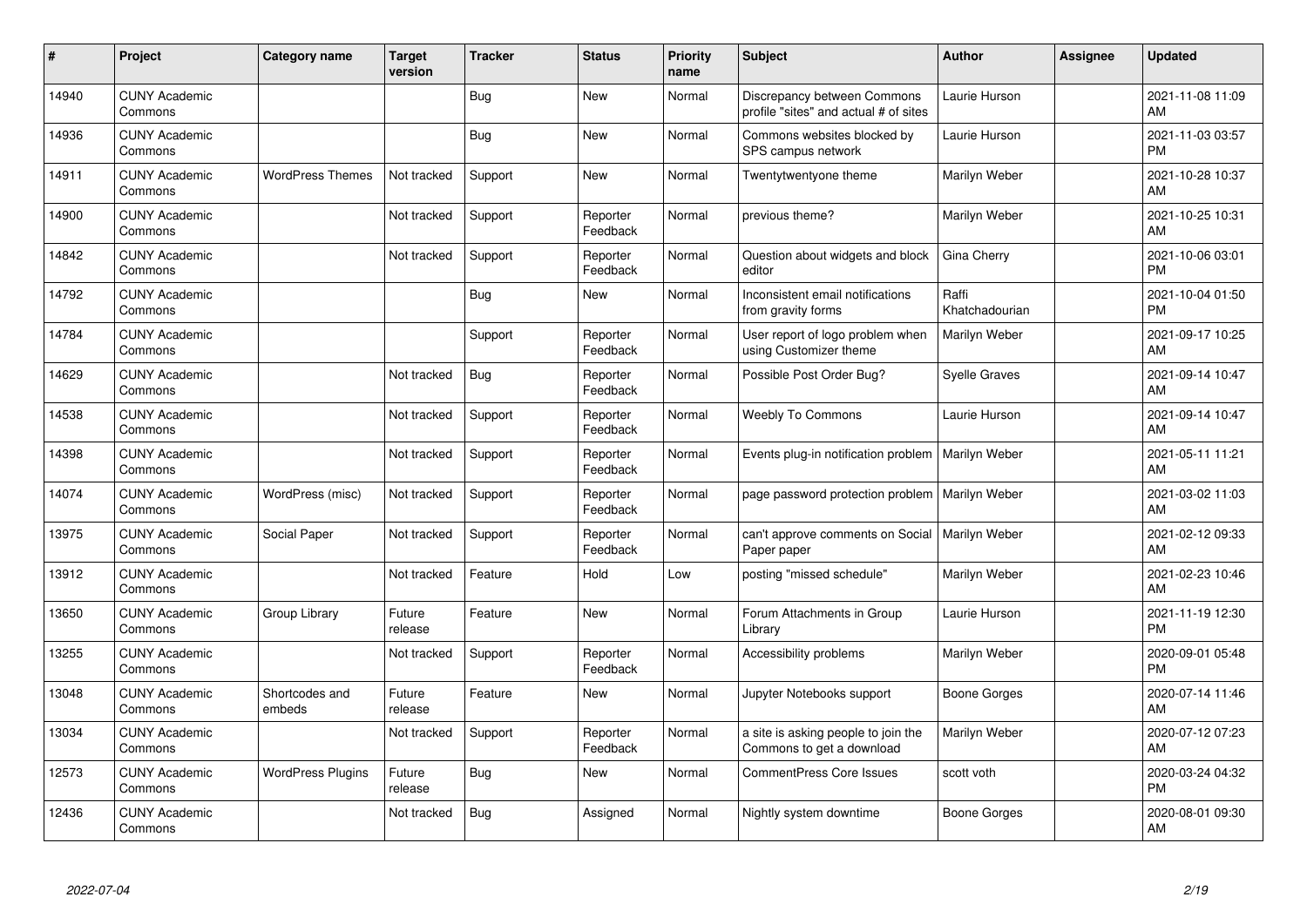| $\#$  | Project                         | <b>Category name</b>     | <b>Target</b><br>version | <b>Tracker</b> | <b>Status</b>        | <b>Priority</b><br>name | <b>Subject</b>                                                       | <b>Author</b>           | <b>Assignee</b> | <b>Updated</b>                |
|-------|---------------------------------|--------------------------|--------------------------|----------------|----------------------|-------------------------|----------------------------------------------------------------------|-------------------------|-----------------|-------------------------------|
| 14940 | <b>CUNY Academic</b><br>Commons |                          |                          | Bug            | <b>New</b>           | Normal                  | Discrepancy between Commons<br>profile "sites" and actual # of sites | Laurie Hurson           |                 | 2021-11-08 11:09<br>AM        |
| 14936 | <b>CUNY Academic</b><br>Commons |                          |                          | <b>Bug</b>     | <b>New</b>           | Normal                  | Commons websites blocked by<br>SPS campus network                    | Laurie Hurson           |                 | 2021-11-03 03:57<br><b>PM</b> |
| 14911 | <b>CUNY Academic</b><br>Commons | <b>WordPress Themes</b>  | Not tracked              | Support        | <b>New</b>           | Normal                  | Twentytwentyone theme                                                | Marilyn Weber           |                 | 2021-10-28 10:37<br>AM        |
| 14900 | <b>CUNY Academic</b><br>Commons |                          | Not tracked              | Support        | Reporter<br>Feedback | Normal                  | previous theme?                                                      | Marilyn Weber           |                 | 2021-10-25 10:31<br>AM        |
| 14842 | <b>CUNY Academic</b><br>Commons |                          | Not tracked              | Support        | Reporter<br>Feedback | Normal                  | Question about widgets and block<br>editor                           | Gina Cherry             |                 | 2021-10-06 03:01<br><b>PM</b> |
| 14792 | <b>CUNY Academic</b><br>Commons |                          |                          | Bug            | <b>New</b>           | Normal                  | Inconsistent email notifications<br>from gravity forms               | Raffi<br>Khatchadourian |                 | 2021-10-04 01:50<br><b>PM</b> |
| 14784 | <b>CUNY Academic</b><br>Commons |                          |                          | Support        | Reporter<br>Feedback | Normal                  | User report of logo problem when<br>using Customizer theme           | Marilyn Weber           |                 | 2021-09-17 10:25<br>AM        |
| 14629 | <b>CUNY Academic</b><br>Commons |                          | Not tracked              | Bug            | Reporter<br>Feedback | Normal                  | Possible Post Order Bug?                                             | <b>Syelle Graves</b>    |                 | 2021-09-14 10:47<br>AM        |
| 14538 | <b>CUNY Academic</b><br>Commons |                          | Not tracked              | Support        | Reporter<br>Feedback | Normal                  | <b>Weebly To Commons</b>                                             | Laurie Hurson           |                 | 2021-09-14 10:47<br>AM        |
| 14398 | <b>CUNY Academic</b><br>Commons |                          | Not tracked              | Support        | Reporter<br>Feedback | Normal                  | Events plug-in notification problem                                  | Marilyn Weber           |                 | 2021-05-11 11:21<br>AM        |
| 14074 | <b>CUNY Academic</b><br>Commons | WordPress (misc)         | Not tracked              | Support        | Reporter<br>Feedback | Normal                  | page password protection problem                                     | Marilyn Weber           |                 | 2021-03-02 11:03<br>AM        |
| 13975 | <b>CUNY Academic</b><br>Commons | Social Paper             | Not tracked              | Support        | Reporter<br>Feedback | Normal                  | can't approve comments on Social<br>Paper paper                      | Marilyn Weber           |                 | 2021-02-12 09:33<br>AM        |
| 13912 | <b>CUNY Academic</b><br>Commons |                          | Not tracked              | Feature        | Hold                 | Low                     | posting "missed schedule"                                            | Marilyn Weber           |                 | 2021-02-23 10:46<br>AM        |
| 13650 | <b>CUNY Academic</b><br>Commons | Group Library            | Future<br>release        | Feature        | <b>New</b>           | Normal                  | Forum Attachments in Group<br>Library                                | Laurie Hurson           |                 | 2021-11-19 12:30<br><b>PM</b> |
| 13255 | <b>CUNY Academic</b><br>Commons |                          | Not tracked              | Support        | Reporter<br>Feedback | Normal                  | Accessibility problems                                               | Marilyn Weber           |                 | 2020-09-01 05:48<br><b>PM</b> |
| 13048 | <b>CUNY Academic</b><br>Commons | Shortcodes and<br>embeds | Future<br>release        | Feature        | New                  | Normal                  | Jupyter Notebooks support                                            | Boone Gorges            |                 | 2020-07-14 11:46<br><b>AM</b> |
| 13034 | <b>CUNY Academic</b><br>Commons |                          | Not tracked              | Support        | Reporter<br>Feedback | Normal                  | a site is asking people to join the<br>Commons to get a download     | Marilyn Weber           |                 | 2020-07-12 07:23<br>AM        |
| 12573 | <b>CUNY Academic</b><br>Commons | <b>WordPress Plugins</b> | Future<br>release        | Bug            | New                  | Normal                  | <b>CommentPress Core Issues</b>                                      | scott voth              |                 | 2020-03-24 04:32<br><b>PM</b> |
| 12436 | <b>CUNY Academic</b><br>Commons |                          | Not tracked              | <b>Bug</b>     | Assigned             | Normal                  | Nightly system downtime                                              | Boone Gorges            |                 | 2020-08-01 09:30<br>AM        |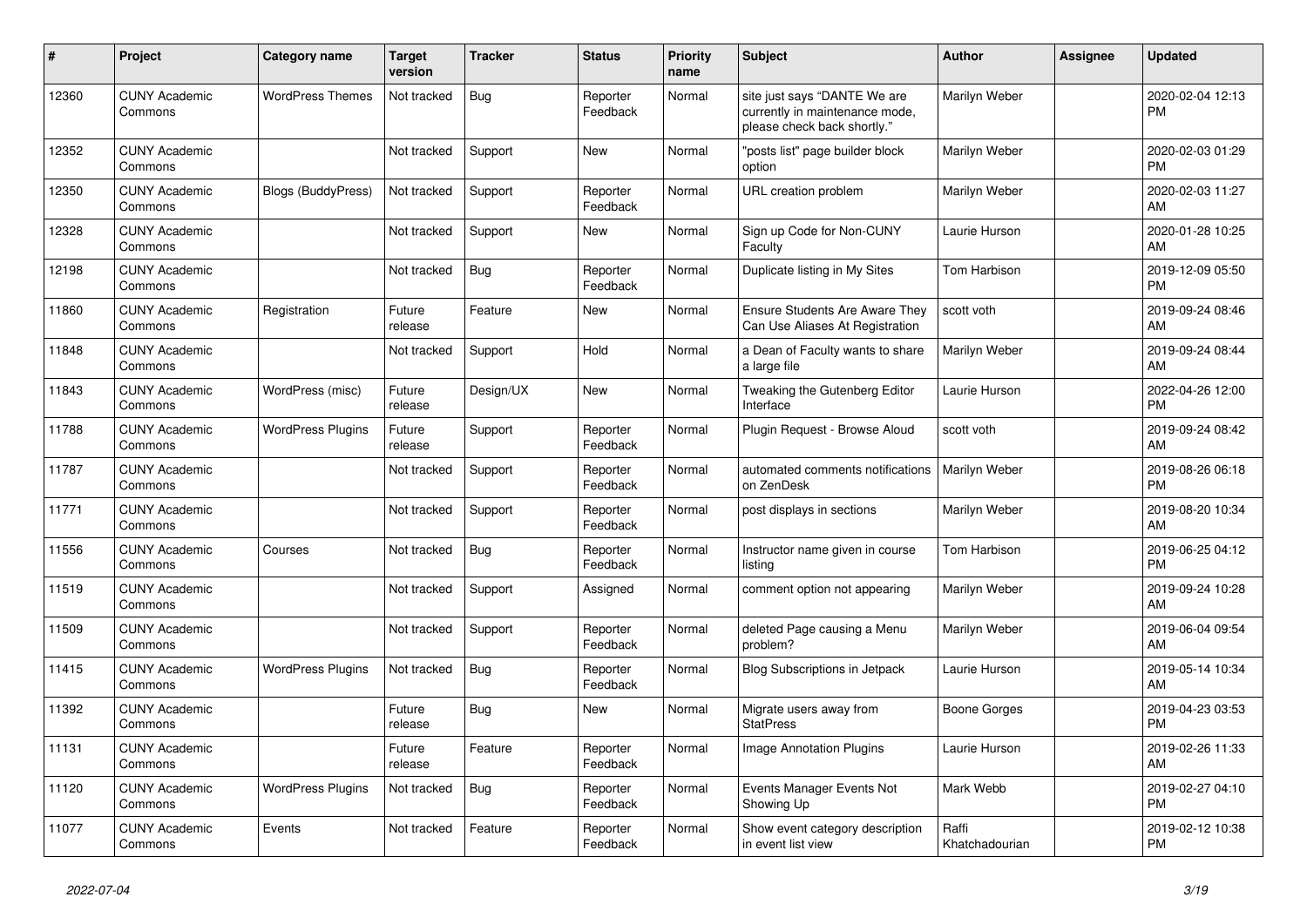| #     | Project                         | <b>Category name</b>      | <b>Target</b><br>version | <b>Tracker</b> | <b>Status</b>        | <b>Priority</b><br>name | <b>Subject</b>                                                                                | <b>Author</b>           | Assignee | <b>Updated</b>                |
|-------|---------------------------------|---------------------------|--------------------------|----------------|----------------------|-------------------------|-----------------------------------------------------------------------------------------------|-------------------------|----------|-------------------------------|
| 12360 | <b>CUNY Academic</b><br>Commons | <b>WordPress Themes</b>   | Not tracked              | Bug            | Reporter<br>Feedback | Normal                  | site just says "DANTE We are<br>currently in maintenance mode,<br>please check back shortly." | Marilyn Weber           |          | 2020-02-04 12:13<br><b>PM</b> |
| 12352 | <b>CUNY Academic</b><br>Commons |                           | Not tracked              | Support        | <b>New</b>           | Normal                  | "posts list" page builder block<br>option                                                     | Marilyn Weber           |          | 2020-02-03 01:29<br><b>PM</b> |
| 12350 | <b>CUNY Academic</b><br>Commons | <b>Blogs (BuddyPress)</b> | Not tracked              | Support        | Reporter<br>Feedback | Normal                  | URL creation problem                                                                          | Marilyn Weber           |          | 2020-02-03 11:27<br>AM        |
| 12328 | <b>CUNY Academic</b><br>Commons |                           | Not tracked              | Support        | New                  | Normal                  | Sign up Code for Non-CUNY<br>Faculty                                                          | Laurie Hurson           |          | 2020-01-28 10:25<br>AM        |
| 12198 | <b>CUNY Academic</b><br>Commons |                           | Not tracked              | <b>Bug</b>     | Reporter<br>Feedback | Normal                  | Duplicate listing in My Sites                                                                 | <b>Tom Harbison</b>     |          | 2019-12-09 05:50<br><b>PM</b> |
| 11860 | <b>CUNY Academic</b><br>Commons | Registration              | Future<br>release        | Feature        | <b>New</b>           | Normal                  | <b>Ensure Students Are Aware They</b><br>Can Use Aliases At Registration                      | scott voth              |          | 2019-09-24 08:46<br>AM        |
| 11848 | <b>CUNY Academic</b><br>Commons |                           | Not tracked              | Support        | Hold                 | Normal                  | a Dean of Faculty wants to share<br>a large file                                              | Marilyn Weber           |          | 2019-09-24 08:44<br>AM        |
| 11843 | <b>CUNY Academic</b><br>Commons | WordPress (misc)          | Future<br>release        | Design/UX      | <b>New</b>           | Normal                  | Tweaking the Gutenberg Editor<br>Interface                                                    | Laurie Hurson           |          | 2022-04-26 12:00<br><b>PM</b> |
| 11788 | <b>CUNY Academic</b><br>Commons | <b>WordPress Plugins</b>  | Future<br>release        | Support        | Reporter<br>Feedback | Normal                  | Plugin Request - Browse Aloud                                                                 | scott voth              |          | 2019-09-24 08:42<br>AM        |
| 11787 | <b>CUNY Academic</b><br>Commons |                           | Not tracked              | Support        | Reporter<br>Feedback | Normal                  | automated comments notifications<br>on ZenDesk                                                | Marilyn Weber           |          | 2019-08-26 06:18<br><b>PM</b> |
| 11771 | <b>CUNY Academic</b><br>Commons |                           | Not tracked              | Support        | Reporter<br>Feedback | Normal                  | post displays in sections                                                                     | Marilyn Weber           |          | 2019-08-20 10:34<br>AM        |
| 11556 | <b>CUNY Academic</b><br>Commons | Courses                   | Not tracked              | Bug            | Reporter<br>Feedback | Normal                  | Instructor name given in course<br>listing                                                    | Tom Harbison            |          | 2019-06-25 04:12<br><b>PM</b> |
| 11519 | <b>CUNY Academic</b><br>Commons |                           | Not tracked              | Support        | Assigned             | Normal                  | comment option not appearing                                                                  | Marilyn Weber           |          | 2019-09-24 10:28<br>AM        |
| 11509 | <b>CUNY Academic</b><br>Commons |                           | Not tracked              | Support        | Reporter<br>Feedback | Normal                  | deleted Page causing a Menu<br>problem?                                                       | Marilyn Weber           |          | 2019-06-04 09:54<br>AM        |
| 11415 | <b>CUNY Academic</b><br>Commons | <b>WordPress Plugins</b>  | Not tracked              | Bug            | Reporter<br>Feedback | Normal                  | Blog Subscriptions in Jetpack                                                                 | Laurie Hurson           |          | 2019-05-14 10:34<br>AM        |
| 11392 | <b>CUNY Academic</b><br>Commons |                           | Future<br>release        | <b>Bug</b>     | <b>New</b>           | Normal                  | Migrate users away from<br><b>StatPress</b>                                                   | Boone Gorges            |          | 2019-04-23 03:53<br><b>PM</b> |
| 11131 | <b>CUNY Academic</b><br>Commons |                           | Future<br>release        | Feature        | Reporter<br>Feedback | Normal                  | <b>Image Annotation Plugins</b>                                                               | Laurie Hurson           |          | 2019-02-26 11:33<br>AM        |
| 11120 | <b>CUNY Academic</b><br>Commons | <b>WordPress Plugins</b>  | Not tracked              | Bug            | Reporter<br>Feedback | Normal                  | Events Manager Events Not<br>Showing Up                                                       | Mark Webb               |          | 2019-02-27 04:10<br><b>PM</b> |
| 11077 | <b>CUNY Academic</b><br>Commons | Events                    | Not tracked              | Feature        | Reporter<br>Feedback | Normal                  | Show event category description<br>in event list view                                         | Raffi<br>Khatchadourian |          | 2019-02-12 10:38<br><b>PM</b> |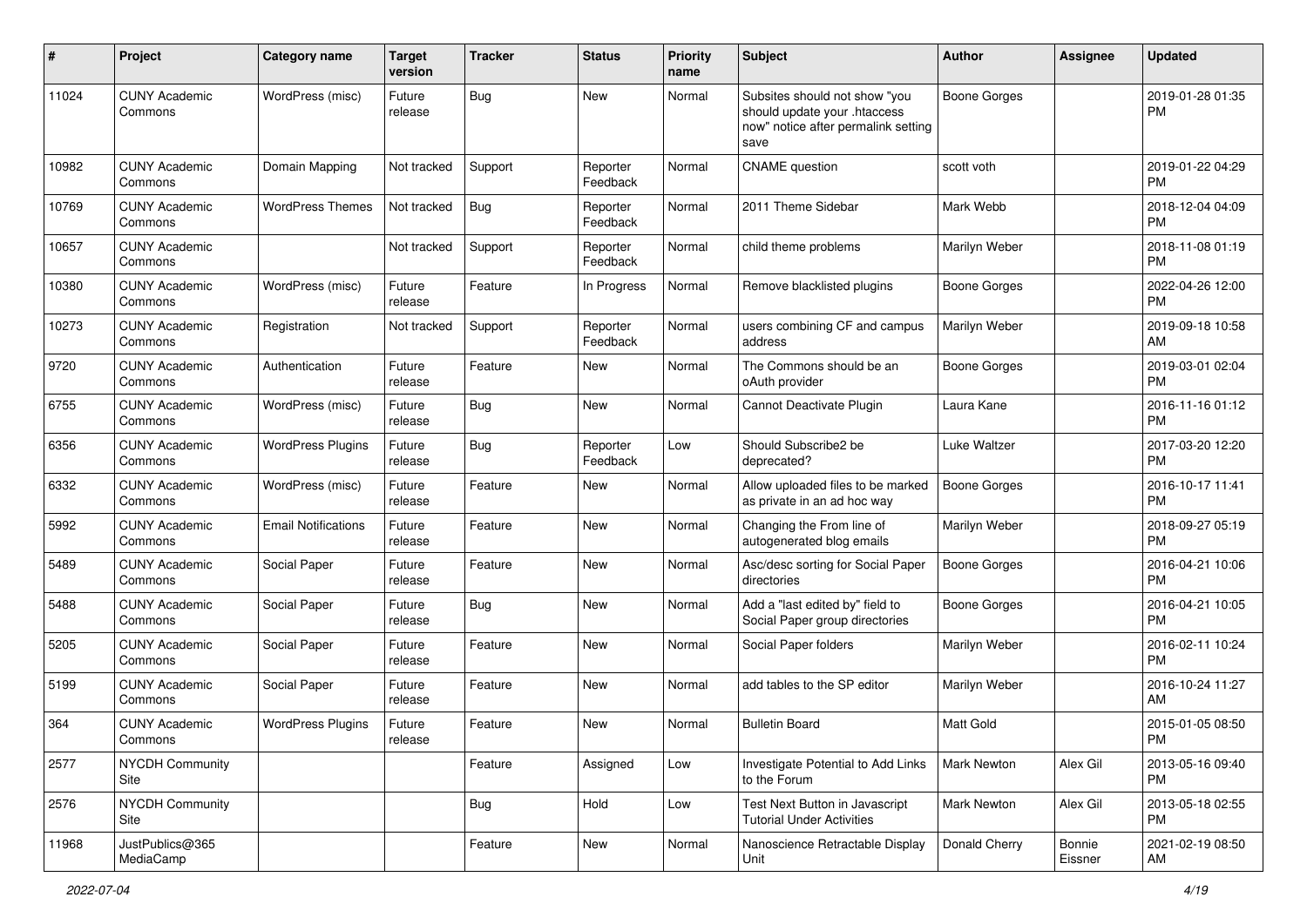| #     | Project                         | <b>Category name</b>       | <b>Target</b><br>version | <b>Tracker</b> | <b>Status</b>        | <b>Priority</b><br>name | Subject                                                                                                      | Author              | <b>Assignee</b>   | <b>Updated</b>                |
|-------|---------------------------------|----------------------------|--------------------------|----------------|----------------------|-------------------------|--------------------------------------------------------------------------------------------------------------|---------------------|-------------------|-------------------------------|
| 11024 | <b>CUNY Academic</b><br>Commons | WordPress (misc)           | Future<br>release        | Bug            | New                  | Normal                  | Subsites should not show "you<br>should update your .htaccess<br>now" notice after permalink setting<br>save | <b>Boone Gorges</b> |                   | 2019-01-28 01:35<br><b>PM</b> |
| 10982 | <b>CUNY Academic</b><br>Commons | Domain Mapping             | Not tracked              | Support        | Reporter<br>Feedback | Normal                  | <b>CNAME</b> question                                                                                        | scott voth          |                   | 2019-01-22 04:29<br><b>PM</b> |
| 10769 | <b>CUNY Academic</b><br>Commons | <b>WordPress Themes</b>    | Not tracked              | <b>Bug</b>     | Reporter<br>Feedback | Normal                  | 2011 Theme Sidebar                                                                                           | Mark Webb           |                   | 2018-12-04 04:09<br><b>PM</b> |
| 10657 | <b>CUNY Academic</b><br>Commons |                            | Not tracked              | Support        | Reporter<br>Feedback | Normal                  | child theme problems                                                                                         | Marilyn Weber       |                   | 2018-11-08 01:19<br><b>PM</b> |
| 10380 | <b>CUNY Academic</b><br>Commons | WordPress (misc)           | Future<br>release        | Feature        | In Progress          | Normal                  | Remove blacklisted plugins                                                                                   | Boone Gorges        |                   | 2022-04-26 12:00<br><b>PM</b> |
| 10273 | <b>CUNY Academic</b><br>Commons | Registration               | Not tracked              | Support        | Reporter<br>Feedback | Normal                  | users combining CF and campus<br>address                                                                     | Marilyn Weber       |                   | 2019-09-18 10:58<br>AM        |
| 9720  | <b>CUNY Academic</b><br>Commons | Authentication             | Future<br>release        | Feature        | New                  | Normal                  | The Commons should be an<br>oAuth provider                                                                   | Boone Gorges        |                   | 2019-03-01 02:04<br><b>PM</b> |
| 6755  | <b>CUNY Academic</b><br>Commons | WordPress (misc)           | Future<br>release        | Bug            | New                  | Normal                  | Cannot Deactivate Plugin                                                                                     | Laura Kane          |                   | 2016-11-16 01:12<br><b>PM</b> |
| 6356  | <b>CUNY Academic</b><br>Commons | <b>WordPress Plugins</b>   | Future<br>release        | Bug            | Reporter<br>Feedback | Low                     | Should Subscribe2 be<br>deprecated?                                                                          | Luke Waltzer        |                   | 2017-03-20 12:20<br><b>PM</b> |
| 6332  | <b>CUNY Academic</b><br>Commons | WordPress (misc)           | Future<br>release        | Feature        | New                  | Normal                  | Allow uploaded files to be marked<br>as private in an ad hoc way                                             | Boone Gorges        |                   | 2016-10-17 11:41<br><b>PM</b> |
| 5992  | <b>CUNY Academic</b><br>Commons | <b>Email Notifications</b> | Future<br>release        | Feature        | New                  | Normal                  | Changing the From line of<br>autogenerated blog emails                                                       | Marilyn Weber       |                   | 2018-09-27 05:19<br><b>PM</b> |
| 5489  | <b>CUNY Academic</b><br>Commons | Social Paper               | Future<br>release        | Feature        | New                  | Normal                  | Asc/desc sorting for Social Paper<br>directories                                                             | Boone Gorges        |                   | 2016-04-21 10:06<br><b>PM</b> |
| 5488  | <b>CUNY Academic</b><br>Commons | Social Paper               | Future<br>release        | Bug            | New                  | Normal                  | Add a "last edited by" field to<br>Social Paper group directories                                            | Boone Gorges        |                   | 2016-04-21 10:05<br><b>PM</b> |
| 5205  | <b>CUNY Academic</b><br>Commons | Social Paper               | Future<br>release        | Feature        | New                  | Normal                  | Social Paper folders                                                                                         | Marilyn Weber       |                   | 2016-02-11 10:24<br><b>PM</b> |
| 5199  | <b>CUNY Academic</b><br>Commons | Social Paper               | Future<br>release        | Feature        | New                  | Normal                  | add tables to the SP editor                                                                                  | Marilyn Weber       |                   | 2016-10-24 11:27<br>AM        |
| 364   | <b>CUNY Academic</b><br>Commons | <b>WordPress Plugins</b>   | Future<br>release        | Feature        | New                  | Normal                  | <b>Bulletin Board</b>                                                                                        | <b>Matt Gold</b>    |                   | 2015-01-05 08:50<br>PM        |
| 2577  | <b>NYCDH Community</b><br>Site  |                            |                          | Feature        | Assigned             | Low                     | Investigate Potential to Add Links<br>to the Forum                                                           | Mark Newton         | Alex Gil          | 2013-05-16 09:40<br><b>PM</b> |
| 2576  | NYCDH Community<br>Site         |                            |                          | <b>Bug</b>     | Hold                 | Low                     | Test Next Button in Javascript<br><b>Tutorial Under Activities</b>                                           | <b>Mark Newton</b>  | Alex Gil          | 2013-05-18 02:55<br><b>PM</b> |
| 11968 | JustPublics@365<br>MediaCamp    |                            |                          | Feature        | New                  | Normal                  | Nanoscience Retractable Display<br>Unit                                                                      | Donald Cherry       | Bonnie<br>Eissner | 2021-02-19 08:50<br>AM        |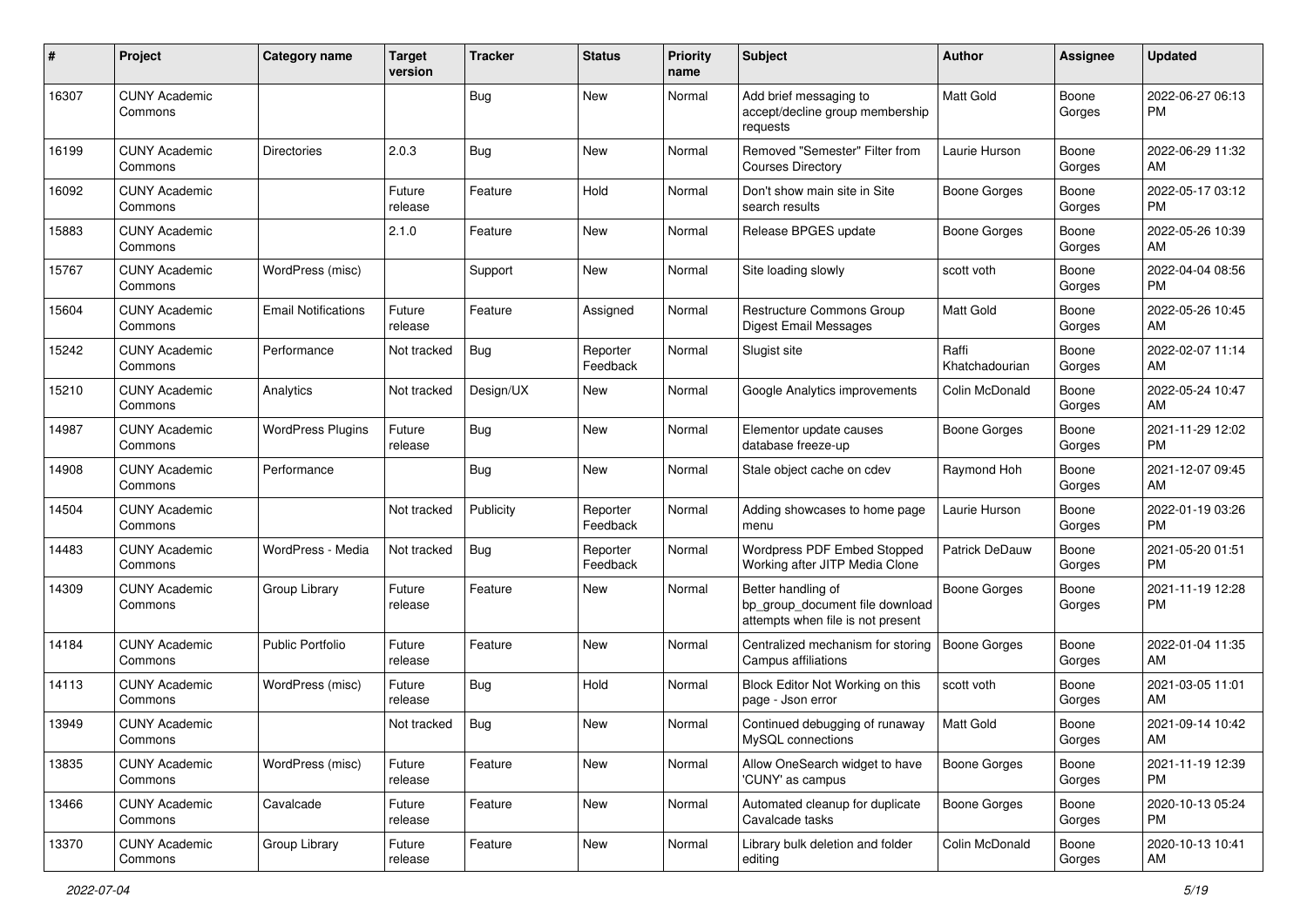| #     | Project                         | <b>Category name</b>       | Target<br>version | <b>Tracker</b> | <b>Status</b>        | <b>Priority</b><br>name | <b>Subject</b>                                                                             | <b>Author</b>           | <b>Assignee</b> | <b>Updated</b>                |
|-------|---------------------------------|----------------------------|-------------------|----------------|----------------------|-------------------------|--------------------------------------------------------------------------------------------|-------------------------|-----------------|-------------------------------|
| 16307 | <b>CUNY Academic</b><br>Commons |                            |                   | Bug            | New                  | Normal                  | Add brief messaging to<br>accept/decline group membership<br>requests                      | Matt Gold               | Boone<br>Gorges | 2022-06-27 06:13<br>PM.       |
| 16199 | <b>CUNY Academic</b><br>Commons | Directories                | 2.0.3             | Bug            | <b>New</b>           | Normal                  | Removed "Semester" Filter from<br><b>Courses Directory</b>                                 | Laurie Hurson           | Boone<br>Gorges | 2022-06-29 11:32<br>AM        |
| 16092 | <b>CUNY Academic</b><br>Commons |                            | Future<br>release | Feature        | Hold                 | Normal                  | Don't show main site in Site<br>search results                                             | <b>Boone Gorges</b>     | Boone<br>Gorges | 2022-05-17 03:12<br><b>PM</b> |
| 15883 | <b>CUNY Academic</b><br>Commons |                            | 2.1.0             | Feature        | <b>New</b>           | Normal                  | Release BPGES update                                                                       | <b>Boone Gorges</b>     | Boone<br>Gorges | 2022-05-26 10:39<br>AM        |
| 15767 | <b>CUNY Academic</b><br>Commons | WordPress (misc)           |                   | Support        | New                  | Normal                  | Site loading slowly                                                                        | scott voth              | Boone<br>Gorges | 2022-04-04 08:56<br>PM.       |
| 15604 | <b>CUNY Academic</b><br>Commons | <b>Email Notifications</b> | Future<br>release | Feature        | Assigned             | Normal                  | <b>Restructure Commons Group</b><br>Digest Email Messages                                  | <b>Matt Gold</b>        | Boone<br>Gorges | 2022-05-26 10:45<br>AM        |
| 15242 | <b>CUNY Academic</b><br>Commons | Performance                | Not tracked       | Bug            | Reporter<br>Feedback | Normal                  | Slugist site                                                                               | Raffi<br>Khatchadourian | Boone<br>Gorges | 2022-02-07 11:14<br>AM        |
| 15210 | <b>CUNY Academic</b><br>Commons | Analytics                  | Not tracked       | Design/UX      | New                  | Normal                  | Google Analytics improvements                                                              | Colin McDonald          | Boone<br>Gorges | 2022-05-24 10:47<br>AM        |
| 14987 | <b>CUNY Academic</b><br>Commons | <b>WordPress Plugins</b>   | Future<br>release | Bug            | New                  | Normal                  | Elementor update causes<br>database freeze-up                                              | Boone Gorges            | Boone<br>Gorges | 2021-11-29 12:02<br>PM.       |
| 14908 | <b>CUNY Academic</b><br>Commons | Performance                |                   | Bug            | New                  | Normal                  | Stale object cache on cdev                                                                 | Raymond Hoh             | Boone<br>Gorges | 2021-12-07 09:45<br>AM        |
| 14504 | <b>CUNY Academic</b><br>Commons |                            | Not tracked       | Publicity      | Reporter<br>Feedback | Normal                  | Adding showcases to home page<br>menu                                                      | Laurie Hurson           | Boone<br>Gorges | 2022-01-19 03:26<br><b>PM</b> |
| 14483 | <b>CUNY Academic</b><br>Commons | WordPress - Media          | Not tracked       | Bug            | Reporter<br>Feedback | Normal                  | Wordpress PDF Embed Stopped<br>Working after JITP Media Clone                              | Patrick DeDauw          | Boone<br>Gorges | 2021-05-20 01:51<br><b>PM</b> |
| 14309 | <b>CUNY Academic</b><br>Commons | Group Library              | Future<br>release | Feature        | New                  | Normal                  | Better handling of<br>bp_group_document file download<br>attempts when file is not present | Boone Gorges            | Boone<br>Gorges | 2021-11-19 12:28<br><b>PM</b> |
| 14184 | <b>CUNY Academic</b><br>Commons | Public Portfolio           | Future<br>release | Feature        | <b>New</b>           | Normal                  | Centralized mechanism for storing<br>Campus affiliations                                   | Boone Gorges            | Boone<br>Gorges | 2022-01-04 11:35<br>AM        |
| 14113 | <b>CUNY Academic</b><br>Commons | WordPress (misc)           | Future<br>release | Bug            | Hold                 | Normal                  | Block Editor Not Working on this<br>page - Json error                                      | scott voth              | Boone<br>Gorges | 2021-03-05 11:01<br>AM        |
| 13949 | <b>CUNY Academic</b><br>Commons |                            | Not tracked       | <b>Bug</b>     | New                  | Normal                  | Continued debugging of runaway<br>MySQL connections                                        | Matt Gold               | Boone<br>Gorges | 2021-09-14 10:42<br>AM        |
| 13835 | <b>CUNY Academic</b><br>Commons | WordPress (misc)           | Future<br>release | Feature        | New                  | Normal                  | Allow OneSearch widget to have<br>'CUNY' as campus                                         | Boone Gorges            | Boone<br>Gorges | 2021-11-19 12:39<br>PM        |
| 13466 | <b>CUNY Academic</b><br>Commons | Cavalcade                  | Future<br>release | Feature        | New                  | Normal                  | Automated cleanup for duplicate<br>Cavalcade tasks                                         | Boone Gorges            | Boone<br>Gorges | 2020-10-13 05:24<br><b>PM</b> |
| 13370 | <b>CUNY Academic</b><br>Commons | Group Library              | Future<br>release | Feature        | New                  | Normal                  | Library bulk deletion and folder<br>editing                                                | Colin McDonald          | Boone<br>Gorges | 2020-10-13 10:41<br>AM        |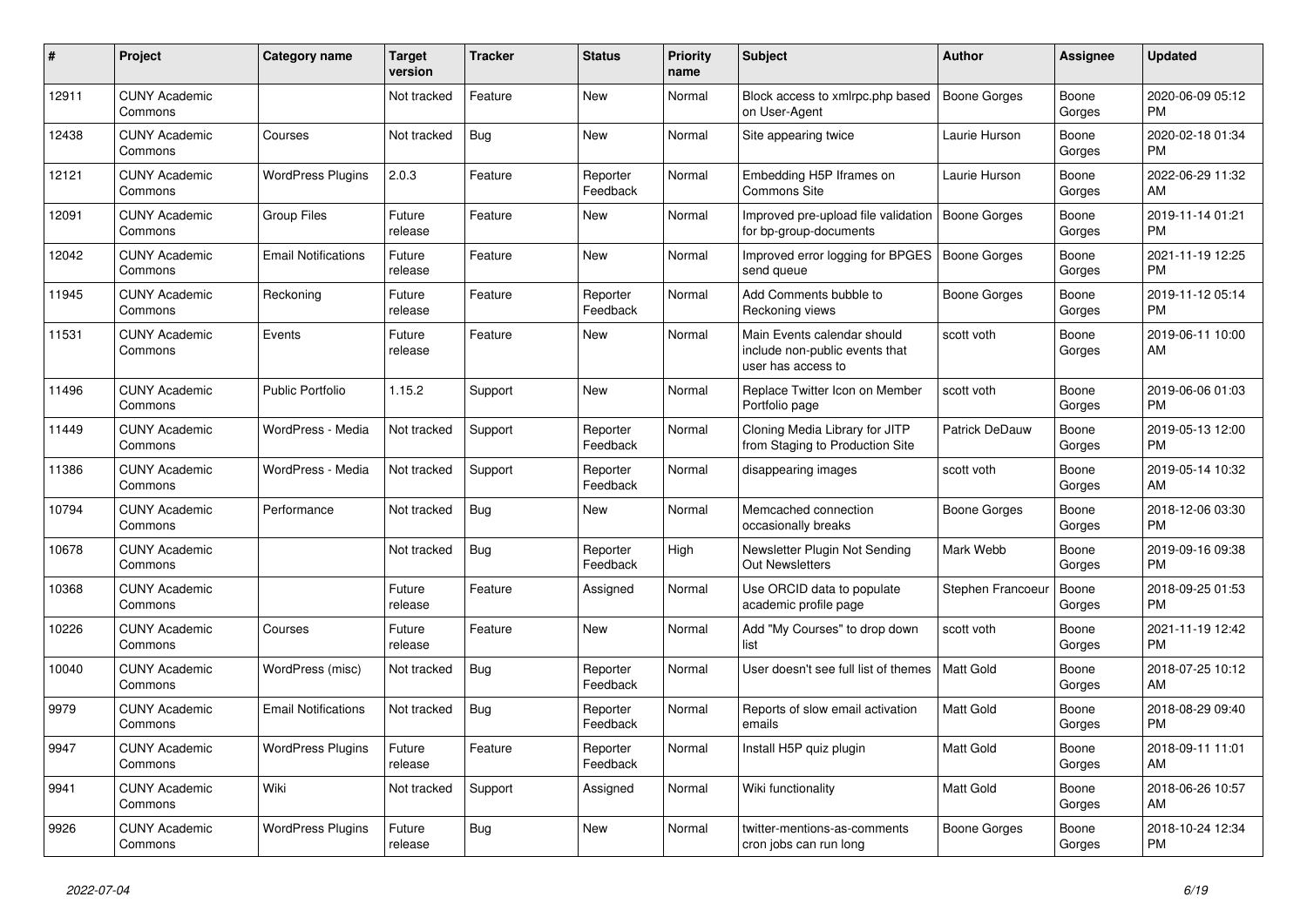| #     | Project                         | <b>Category name</b>       | Target<br>version | <b>Tracker</b> | <b>Status</b>        | <b>Priority</b><br>name | <b>Subject</b>                                                                      | <b>Author</b>         | <b>Assignee</b> | <b>Updated</b>                |
|-------|---------------------------------|----------------------------|-------------------|----------------|----------------------|-------------------------|-------------------------------------------------------------------------------------|-----------------------|-----------------|-------------------------------|
| 12911 | <b>CUNY Academic</b><br>Commons |                            | Not tracked       | Feature        | New                  | Normal                  | Block access to xmlrpc.php based<br>on User-Agent                                   | Boone Gorges          | Boone<br>Gorges | 2020-06-09 05:12<br>PM.       |
| 12438 | <b>CUNY Academic</b><br>Commons | Courses                    | Not tracked       | <b>Bug</b>     | New                  | Normal                  | Site appearing twice                                                                | Laurie Hurson         | Boone<br>Gorges | 2020-02-18 01:34<br><b>PM</b> |
| 12121 | <b>CUNY Academic</b><br>Commons | <b>WordPress Plugins</b>   | 2.0.3             | Feature        | Reporter<br>Feedback | Normal                  | Embedding H5P Iframes on<br><b>Commons Site</b>                                     | Laurie Hurson         | Boone<br>Gorges | 2022-06-29 11:32<br>AM        |
| 12091 | <b>CUNY Academic</b><br>Commons | <b>Group Files</b>         | Future<br>release | Feature        | <b>New</b>           | Normal                  | Improved pre-upload file validation<br>for bp-group-documents                       | <b>Boone Gorges</b>   | Boone<br>Gorges | 2019-11-14 01:21<br><b>PM</b> |
| 12042 | <b>CUNY Academic</b><br>Commons | <b>Email Notifications</b> | Future<br>release | Feature        | New                  | Normal                  | Improved error logging for BPGES<br>send queue                                      | Boone Gorges          | Boone<br>Gorges | 2021-11-19 12:25<br><b>PM</b> |
| 11945 | <b>CUNY Academic</b><br>Commons | Reckoning                  | Future<br>release | Feature        | Reporter<br>Feedback | Normal                  | Add Comments bubble to<br>Reckoning views                                           | Boone Gorges          | Boone<br>Gorges | 2019-11-12 05:14<br><b>PM</b> |
| 11531 | <b>CUNY Academic</b><br>Commons | Events                     | Future<br>release | Feature        | <b>New</b>           | Normal                  | Main Events calendar should<br>include non-public events that<br>user has access to | scott voth            | Boone<br>Gorges | 2019-06-11 10:00<br>AM        |
| 11496 | <b>CUNY Academic</b><br>Commons | <b>Public Portfolio</b>    | 1.15.2            | Support        | <b>New</b>           | Normal                  | Replace Twitter Icon on Member<br>Portfolio page                                    | scott voth            | Boone<br>Gorges | 2019-06-06 01:03<br><b>PM</b> |
| 11449 | <b>CUNY Academic</b><br>Commons | WordPress - Media          | Not tracked       | Support        | Reporter<br>Feedback | Normal                  | Cloning Media Library for JITP<br>from Staging to Production Site                   | <b>Patrick DeDauw</b> | Boone<br>Gorges | 2019-05-13 12:00<br><b>PM</b> |
| 11386 | <b>CUNY Academic</b><br>Commons | WordPress - Media          | Not tracked       | Support        | Reporter<br>Feedback | Normal                  | disappearing images                                                                 | scott voth            | Boone<br>Gorges | 2019-05-14 10:32<br>AM        |
| 10794 | <b>CUNY Academic</b><br>Commons | Performance                | Not tracked       | Bug            | New                  | Normal                  | Memcached connection<br>occasionally breaks                                         | Boone Gorges          | Boone<br>Gorges | 2018-12-06 03:30<br><b>PM</b> |
| 10678 | <b>CUNY Academic</b><br>Commons |                            | Not tracked       | Bug            | Reporter<br>Feedback | High                    | Newsletter Plugin Not Sending<br><b>Out Newsletters</b>                             | Mark Webb             | Boone<br>Gorges | 2019-09-16 09:38<br><b>PM</b> |
| 10368 | <b>CUNY Academic</b><br>Commons |                            | Future<br>release | Feature        | Assigned             | Normal                  | Use ORCID data to populate<br>academic profile page                                 | Stephen Francoeur     | Boone<br>Gorges | 2018-09-25 01:53<br><b>PM</b> |
| 10226 | <b>CUNY Academic</b><br>Commons | Courses                    | Future<br>release | Feature        | New                  | Normal                  | Add "My Courses" to drop down<br>list                                               | scott voth            | Boone<br>Gorges | 2021-11-19 12:42<br><b>PM</b> |
| 10040 | <b>CUNY Academic</b><br>Commons | WordPress (misc)           | Not tracked       | Bug            | Reporter<br>Feedback | Normal                  | User doesn't see full list of themes                                                | <b>Matt Gold</b>      | Boone<br>Gorges | 2018-07-25 10:12<br><b>AM</b> |
| 9979  | <b>CUNY Academic</b><br>Commons | <b>Email Notifications</b> | Not tracked       | <b>Bug</b>     | Reporter<br>Feedback | Normal                  | Reports of slow email activation<br>emails                                          | Matt Gold             | Boone<br>Gorges | 2018-08-29 09:40<br><b>PM</b> |
| 9947  | <b>CUNY Academic</b><br>Commons | <b>WordPress Plugins</b>   | Future<br>release | Feature        | Reporter<br>Feedback | Normal                  | Install H5P quiz plugin                                                             | Matt Gold             | Boone<br>Gorges | 2018-09-11 11:01<br>AM        |
| 9941  | <b>CUNY Academic</b><br>Commons | Wiki                       | Not tracked       | Support        | Assigned             | Normal                  | Wiki functionality                                                                  | Matt Gold             | Boone<br>Gorges | 2018-06-26 10:57<br>AM.       |
| 9926  | <b>CUNY Academic</b><br>Commons | <b>WordPress Plugins</b>   | Future<br>release | <b>Bug</b>     | <b>New</b>           | Normal                  | twitter-mentions-as-comments<br>cron jobs can run long                              | Boone Gorges          | Boone<br>Gorges | 2018-10-24 12:34<br><b>PM</b> |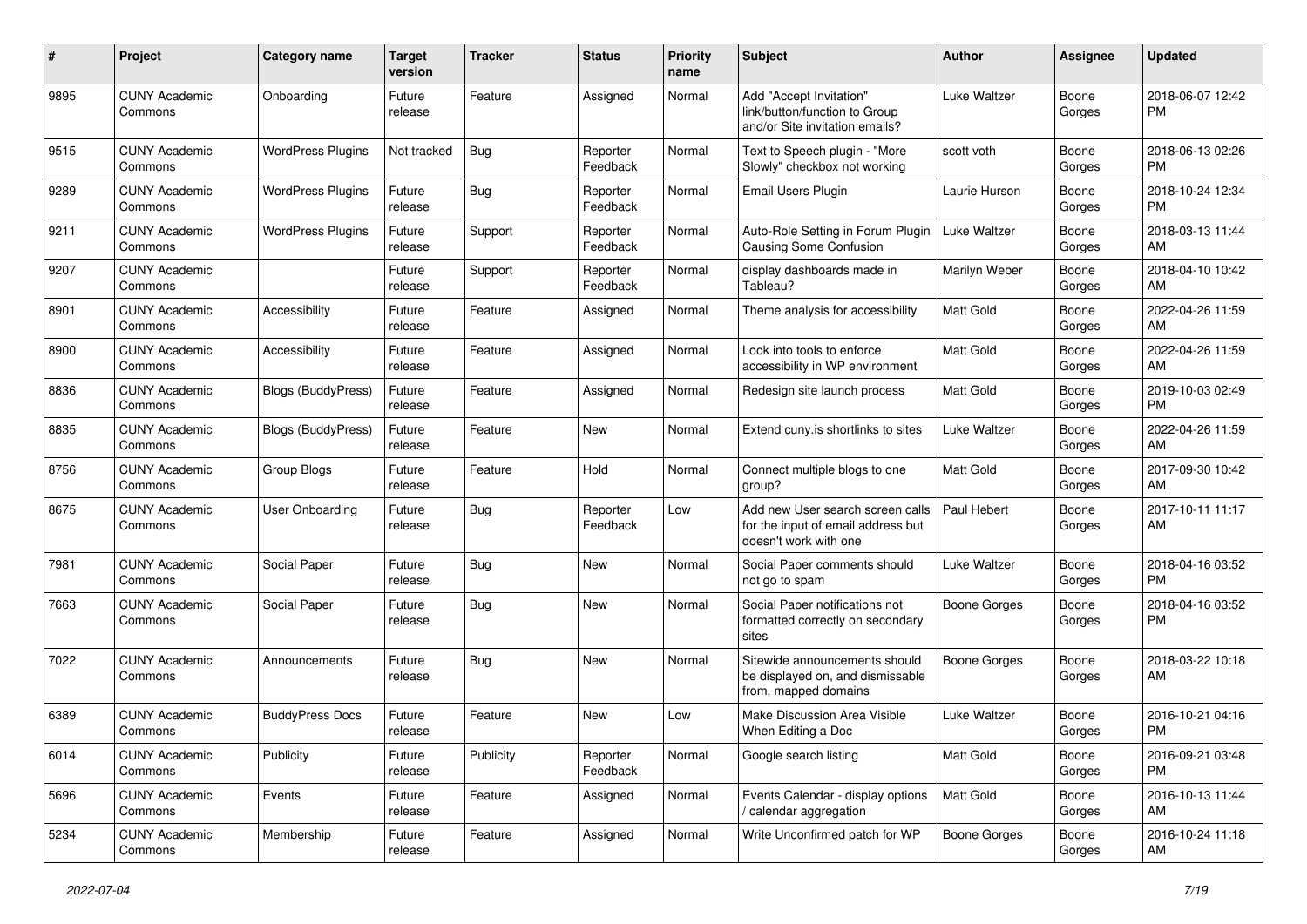| $\#$ | Project                         | Category name            | <b>Target</b><br>version | <b>Tracker</b> | <b>Status</b>        | <b>Priority</b><br>name | <b>Subject</b>                                                                                  | Author              | Assignee        | <b>Updated</b>                |
|------|---------------------------------|--------------------------|--------------------------|----------------|----------------------|-------------------------|-------------------------------------------------------------------------------------------------|---------------------|-----------------|-------------------------------|
| 9895 | <b>CUNY Academic</b><br>Commons | Onboarding               | Future<br>release        | Feature        | Assigned             | Normal                  | Add "Accept Invitation"<br>link/button/function to Group<br>and/or Site invitation emails?      | Luke Waltzer        | Boone<br>Gorges | 2018-06-07 12:42<br><b>PM</b> |
| 9515 | <b>CUNY Academic</b><br>Commons | <b>WordPress Plugins</b> | Not tracked              | <b>Bug</b>     | Reporter<br>Feedback | Normal                  | Text to Speech plugin - "More<br>Slowly" checkbox not working                                   | scott voth          | Boone<br>Gorges | 2018-06-13 02:26<br>PM        |
| 9289 | <b>CUNY Academic</b><br>Commons | <b>WordPress Plugins</b> | Future<br>release        | <b>Bug</b>     | Reporter<br>Feedback | Normal                  | <b>Email Users Plugin</b>                                                                       | Laurie Hurson       | Boone<br>Gorges | 2018-10-24 12:34<br><b>PM</b> |
| 9211 | <b>CUNY Academic</b><br>Commons | <b>WordPress Plugins</b> | Future<br>release        | Support        | Reporter<br>Feedback | Normal                  | Auto-Role Setting in Forum Plugin<br><b>Causing Some Confusion</b>                              | Luke Waltzer        | Boone<br>Gorges | 2018-03-13 11:44<br>AM        |
| 9207 | <b>CUNY Academic</b><br>Commons |                          | Future<br>release        | Support        | Reporter<br>Feedback | Normal                  | display dashboards made in<br>Tableau?                                                          | Marilyn Weber       | Boone<br>Gorges | 2018-04-10 10:42<br>AM        |
| 8901 | <b>CUNY Academic</b><br>Commons | Accessibility            | Future<br>release        | Feature        | Assigned             | Normal                  | Theme analysis for accessibility                                                                | Matt Gold           | Boone<br>Gorges | 2022-04-26 11:59<br>AM        |
| 8900 | <b>CUNY Academic</b><br>Commons | Accessibility            | Future<br>release        | Feature        | Assigned             | Normal                  | Look into tools to enforce<br>accessibility in WP environment                                   | Matt Gold           | Boone<br>Gorges | 2022-04-26 11:59<br>AM        |
| 8836 | <b>CUNY Academic</b><br>Commons | Blogs (BuddyPress)       | Future<br>release        | Feature        | Assigned             | Normal                  | Redesign site launch process                                                                    | Matt Gold           | Boone<br>Gorges | 2019-10-03 02:49<br><b>PM</b> |
| 8835 | <b>CUNY Academic</b><br>Commons | Blogs (BuddyPress)       | Future<br>release        | Feature        | <b>New</b>           | Normal                  | Extend cuny.is shortlinks to sites                                                              | Luke Waltzer        | Boone<br>Gorges | 2022-04-26 11:59<br>AM        |
| 8756 | <b>CUNY Academic</b><br>Commons | Group Blogs              | Future<br>release        | Feature        | Hold                 | Normal                  | Connect multiple blogs to one<br>group?                                                         | <b>Matt Gold</b>    | Boone<br>Gorges | 2017-09-30 10:42<br>AM        |
| 8675 | <b>CUNY Academic</b><br>Commons | User Onboarding          | Future<br>release        | Bug            | Reporter<br>Feedback | Low                     | Add new User search screen calls<br>for the input of email address but<br>doesn't work with one | Paul Hebert         | Boone<br>Gorges | 2017-10-11 11:17<br>AM        |
| 7981 | <b>CUNY Academic</b><br>Commons | Social Paper             | Future<br>release        | Bug            | <b>New</b>           | Normal                  | Social Paper comments should<br>not go to spam                                                  | Luke Waltzer        | Boone<br>Gorges | 2018-04-16 03:52<br><b>PM</b> |
| 7663 | <b>CUNY Academic</b><br>Commons | Social Paper             | Future<br>release        | Bug            | <b>New</b>           | Normal                  | Social Paper notifications not<br>formatted correctly on secondary<br>sites                     | Boone Gorges        | Boone<br>Gorges | 2018-04-16 03:52<br><b>PM</b> |
| 7022 | <b>CUNY Academic</b><br>Commons | Announcements            | Future<br>release        | Bug            | <b>New</b>           | Normal                  | Sitewide announcements should<br>be displayed on, and dismissable<br>from, mapped domains       | <b>Boone Gorges</b> | Boone<br>Gorges | 2018-03-22 10:18<br>AM        |
| 6389 | <b>CUNY Academic</b><br>Commons | <b>BuddyPress Docs</b>   | Future<br>release        | Feature        | <b>New</b>           | Low                     | Make Discussion Area Visible<br>When Editing a Doc                                              | Luke Waltzer        | Boone<br>Gorges | 2016-10-21 04:16<br><b>PM</b> |
| 6014 | <b>CUNY Academic</b><br>Commons | Publicity                | Future<br>release        | Publicity      | Reporter<br>Feedback | Normal                  | Google search listing                                                                           | Matt Gold           | Boone<br>Gorges | 2016-09-21 03:48<br><b>PM</b> |
| 5696 | <b>CUNY Academic</b><br>Commons | Events                   | Future<br>release        | Feature        | Assigned             | Normal                  | Events Calendar - display options<br>/ calendar aggregation                                     | Matt Gold           | Boone<br>Gorges | 2016-10-13 11:44<br>AM        |
| 5234 | <b>CUNY Academic</b><br>Commons | Membership               | Future<br>release        | Feature        | Assigned             | Normal                  | Write Unconfirmed patch for WP                                                                  | <b>Boone Gorges</b> | Boone<br>Gorges | 2016-10-24 11:18<br>AM        |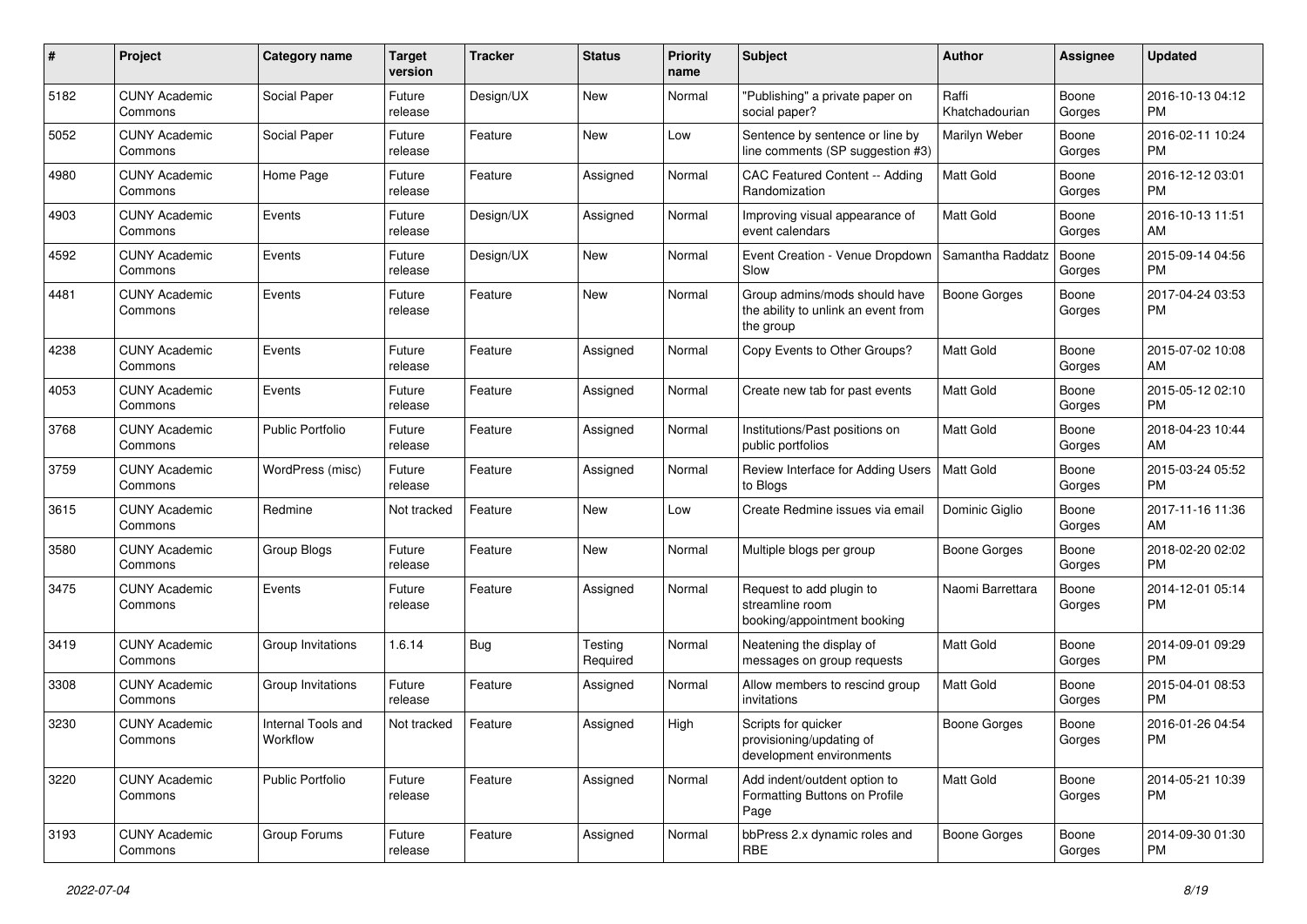| #    | Project                         | <b>Category name</b>           | <b>Target</b><br>version | <b>Tracker</b> | <b>Status</b>       | <b>Priority</b><br>name | Subject                                                                           | Author                  | Assignee        | <b>Updated</b>                |
|------|---------------------------------|--------------------------------|--------------------------|----------------|---------------------|-------------------------|-----------------------------------------------------------------------------------|-------------------------|-----------------|-------------------------------|
| 5182 | <b>CUNY Academic</b><br>Commons | Social Paper                   | Future<br>release        | Design/UX      | New                 | Normal                  | "Publishing" a private paper on<br>social paper?                                  | Raffi<br>Khatchadourian | Boone<br>Gorges | 2016-10-13 04:12<br>PM.       |
| 5052 | <b>CUNY Academic</b><br>Commons | Social Paper                   | Future<br>release        | Feature        | New                 | Low                     | Sentence by sentence or line by<br>line comments (SP suggestion #3)               | Marilyn Weber           | Boone<br>Gorges | 2016-02-11 10:24<br><b>PM</b> |
| 4980 | <b>CUNY Academic</b><br>Commons | Home Page                      | Future<br>release        | Feature        | Assigned            | Normal                  | CAC Featured Content -- Adding<br>Randomization                                   | <b>Matt Gold</b>        | Boone<br>Gorges | 2016-12-12 03:01<br><b>PM</b> |
| 4903 | <b>CUNY Academic</b><br>Commons | Events                         | Future<br>release        | Design/UX      | Assigned            | Normal                  | Improving visual appearance of<br>event calendars                                 | <b>Matt Gold</b>        | Boone<br>Gorges | 2016-10-13 11:51<br>AM        |
| 4592 | <b>CUNY Academic</b><br>Commons | Events                         | Future<br>release        | Design/UX      | New                 | Normal                  | Event Creation - Venue Dropdown<br>Slow                                           | Samantha Raddatz        | Boone<br>Gorges | 2015-09-14 04:56<br><b>PM</b> |
| 4481 | <b>CUNY Academic</b><br>Commons | Events                         | Future<br>release        | Feature        | New                 | Normal                  | Group admins/mods should have<br>the ability to unlink an event from<br>the group | <b>Boone Gorges</b>     | Boone<br>Gorges | 2017-04-24 03:53<br>PM        |
| 4238 | <b>CUNY Academic</b><br>Commons | Events                         | Future<br>release        | Feature        | Assigned            | Normal                  | Copy Events to Other Groups?                                                      | <b>Matt Gold</b>        | Boone<br>Gorges | 2015-07-02 10:08<br>AM        |
| 4053 | <b>CUNY Academic</b><br>Commons | Events                         | Future<br>release        | Feature        | Assigned            | Normal                  | Create new tab for past events                                                    | <b>Matt Gold</b>        | Boone<br>Gorges | 2015-05-12 02:10<br><b>PM</b> |
| 3768 | <b>CUNY Academic</b><br>Commons | <b>Public Portfolio</b>        | Future<br>release        | Feature        | Assigned            | Normal                  | Institutions/Past positions on<br>public portfolios                               | <b>Matt Gold</b>        | Boone<br>Gorges | 2018-04-23 10:44<br>AM        |
| 3759 | <b>CUNY Academic</b><br>Commons | WordPress (misc)               | Future<br>release        | Feature        | Assigned            | Normal                  | Review Interface for Adding Users<br>to Blogs                                     | Matt Gold               | Boone<br>Gorges | 2015-03-24 05:52<br><b>PM</b> |
| 3615 | <b>CUNY Academic</b><br>Commons | Redmine                        | Not tracked              | Feature        | <b>New</b>          | Low                     | Create Redmine issues via email                                                   | Dominic Giglio          | Boone<br>Gorges | 2017-11-16 11:36<br>AM        |
| 3580 | <b>CUNY Academic</b><br>Commons | Group Blogs                    | Future<br>release        | Feature        | New                 | Normal                  | Multiple blogs per group                                                          | Boone Gorges            | Boone<br>Gorges | 2018-02-20 02:02<br><b>PM</b> |
| 3475 | <b>CUNY Academic</b><br>Commons | Events                         | Future<br>release        | Feature        | Assigned            | Normal                  | Request to add plugin to<br>streamline room<br>booking/appointment booking        | Naomi Barrettara        | Boone<br>Gorges | 2014-12-01 05:14<br><b>PM</b> |
| 3419 | <b>CUNY Academic</b><br>Commons | Group Invitations              | 1.6.14                   | Bug            | Testing<br>Required | Normal                  | Neatening the display of<br>messages on group requests                            | Matt Gold               | Boone<br>Gorges | 2014-09-01 09:29<br><b>PM</b> |
| 3308 | <b>CUNY Academic</b><br>Commons | Group Invitations              | Future<br>release        | Feature        | Assigned            | Normal                  | Allow members to rescind group<br>invitations                                     | <b>Matt Gold</b>        | Boone<br>Gorges | 2015-04-01 08:53<br><b>PM</b> |
| 3230 | <b>CUNY Academic</b><br>Commons | Internal Tools and<br>Workflow | Not tracked              | Feature        | Assigned            | High                    | Scripts for quicker<br>provisioning/updating of<br>development environments       | <b>Boone Gorges</b>     | Boone<br>Gorges | 2016-01-26 04:54<br>PM        |
| 3220 | <b>CUNY Academic</b><br>Commons | Public Portfolio               | Future<br>release        | Feature        | Assigned            | Normal                  | Add indent/outdent option to<br>Formatting Buttons on Profile<br>Page             | Matt Gold               | Boone<br>Gorges | 2014-05-21 10:39<br><b>PM</b> |
| 3193 | <b>CUNY Academic</b><br>Commons | Group Forums                   | Future<br>release        | Feature        | Assigned            | Normal                  | bbPress 2.x dynamic roles and<br><b>RBE</b>                                       | Boone Gorges            | Boone<br>Gorges | 2014-09-30 01:30<br><b>PM</b> |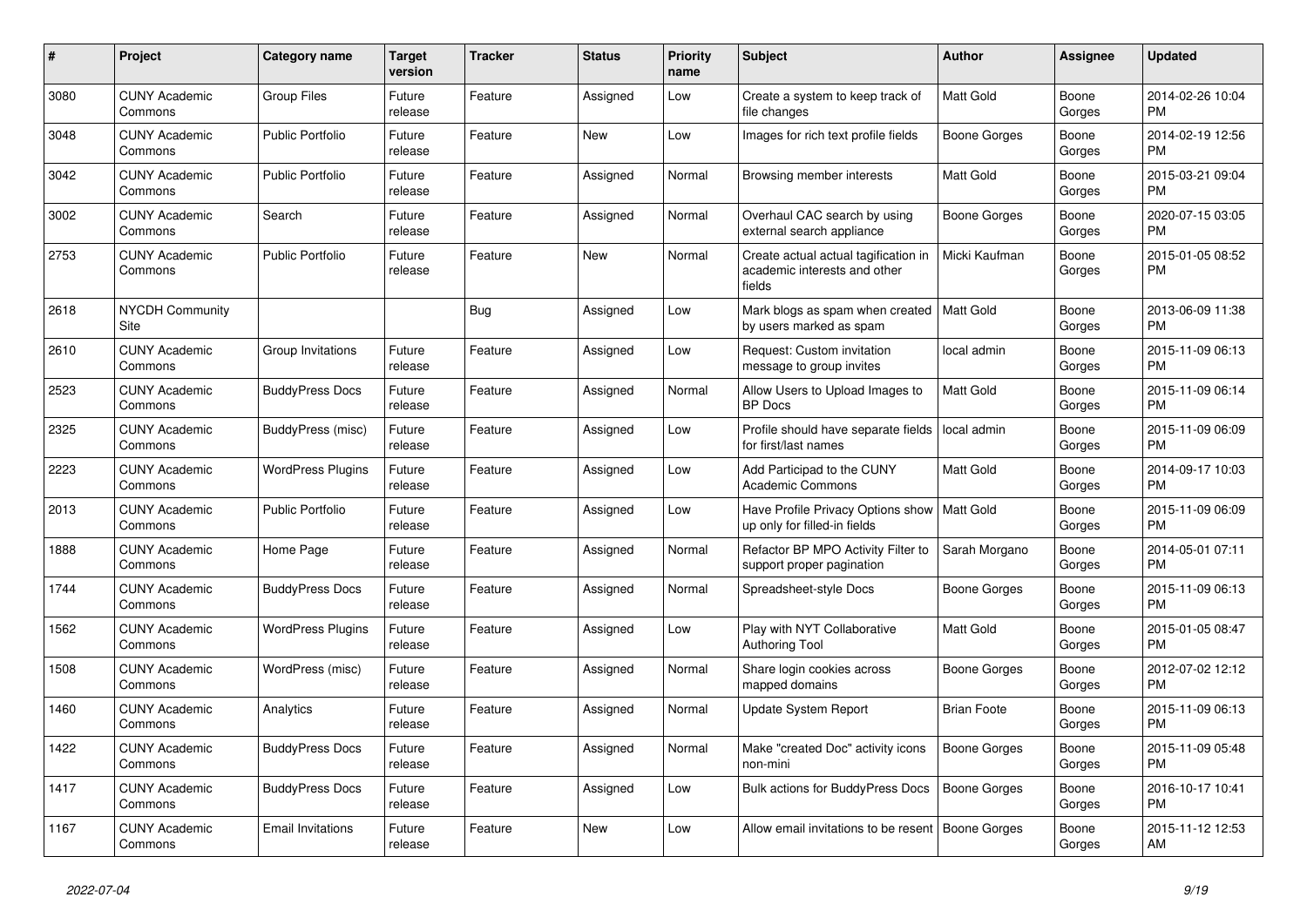| #    | <b>Project</b>                  | <b>Category name</b>     | <b>Target</b><br>version | <b>Tracker</b> | <b>Status</b> | <b>Priority</b><br>name | <b>Subject</b>                                                                 | <b>Author</b>      | Assignee        | <b>Updated</b>                |
|------|---------------------------------|--------------------------|--------------------------|----------------|---------------|-------------------------|--------------------------------------------------------------------------------|--------------------|-----------------|-------------------------------|
| 3080 | <b>CUNY Academic</b><br>Commons | <b>Group Files</b>       | Future<br>release        | Feature        | Assigned      | Low                     | Create a system to keep track of<br>file changes                               | <b>Matt Gold</b>   | Boone<br>Gorges | 2014-02-26 10:04<br><b>PM</b> |
| 3048 | <b>CUNY Academic</b><br>Commons | <b>Public Portfolio</b>  | Future<br>release        | Feature        | New           | Low                     | Images for rich text profile fields                                            | Boone Gorges       | Boone<br>Gorges | 2014-02-19 12:56<br><b>PM</b> |
| 3042 | <b>CUNY Academic</b><br>Commons | <b>Public Portfolio</b>  | Future<br>release        | Feature        | Assigned      | Normal                  | Browsing member interests                                                      | <b>Matt Gold</b>   | Boone<br>Gorges | 2015-03-21 09:04<br><b>PM</b> |
| 3002 | <b>CUNY Academic</b><br>Commons | Search                   | Future<br>release        | Feature        | Assigned      | Normal                  | Overhaul CAC search by using<br>external search appliance                      | Boone Gorges       | Boone<br>Gorges | 2020-07-15 03:05<br><b>PM</b> |
| 2753 | <b>CUNY Academic</b><br>Commons | <b>Public Portfolio</b>  | Future<br>release        | Feature        | New           | Normal                  | Create actual actual tagification in<br>academic interests and other<br>fields | Micki Kaufman      | Boone<br>Gorges | 2015-01-05 08:52<br><b>PM</b> |
| 2618 | <b>NYCDH Community</b><br>Site  |                          |                          | <b>Bug</b>     | Assigned      | Low                     | Mark blogs as spam when created<br>by users marked as spam                     | Matt Gold          | Boone<br>Gorges | 2013-06-09 11:38<br><b>PM</b> |
| 2610 | <b>CUNY Academic</b><br>Commons | Group Invitations        | Future<br>release        | Feature        | Assigned      | Low                     | Request: Custom invitation<br>message to group invites                         | local admin        | Boone<br>Gorges | 2015-11-09 06:13<br><b>PM</b> |
| 2523 | <b>CUNY Academic</b><br>Commons | <b>BuddyPress Docs</b>   | Future<br>release        | Feature        | Assigned      | Normal                  | Allow Users to Upload Images to<br>BP Docs                                     | Matt Gold          | Boone<br>Gorges | 2015-11-09 06:14<br><b>PM</b> |
| 2325 | <b>CUNY Academic</b><br>Commons | BuddyPress (misc)        | Future<br>release        | Feature        | Assigned      | Low                     | Profile should have separate fields<br>for first/last names                    | local admin        | Boone<br>Gorges | 2015-11-09 06:09<br><b>PM</b> |
| 2223 | <b>CUNY Academic</b><br>Commons | <b>WordPress Plugins</b> | Future<br>release        | Feature        | Assigned      | Low                     | Add Participad to the CUNY<br><b>Academic Commons</b>                          | <b>Matt Gold</b>   | Boone<br>Gorges | 2014-09-17 10:03<br><b>PM</b> |
| 2013 | <b>CUNY Academic</b><br>Commons | <b>Public Portfolio</b>  | Future<br>release        | Feature        | Assigned      | Low                     | Have Profile Privacy Options show<br>up only for filled-in fields              | Matt Gold          | Boone<br>Gorges | 2015-11-09 06:09<br><b>PM</b> |
| 1888 | <b>CUNY Academic</b><br>Commons | Home Page                | Future<br>release        | Feature        | Assigned      | Normal                  | Refactor BP MPO Activity Filter to<br>support proper pagination                | Sarah Morgano      | Boone<br>Gorges | 2014-05-01 07:11<br><b>PM</b> |
| 1744 | <b>CUNY Academic</b><br>Commons | <b>BuddyPress Docs</b>   | Future<br>release        | Feature        | Assigned      | Normal                  | Spreadsheet-style Docs                                                         | Boone Gorges       | Boone<br>Gorges | 2015-11-09 06:13<br><b>PM</b> |
| 1562 | <b>CUNY Academic</b><br>Commons | <b>WordPress Plugins</b> | Future<br>release        | Feature        | Assigned      | Low                     | Play with NYT Collaborative<br><b>Authoring Tool</b>                           | <b>Matt Gold</b>   | Boone<br>Gorges | 2015-01-05 08:47<br><b>PM</b> |
| 1508 | <b>CUNY Academic</b><br>Commons | WordPress (misc)         | Future<br>release        | Feature        | Assigned      | Normal                  | Share login cookies across<br>mapped domains                                   | Boone Gorges       | Boone<br>Gorges | 2012-07-02 12:12<br><b>PM</b> |
| 1460 | <b>CUNY Academic</b><br>Commons | Analytics                | Future<br>release        | Feature        | Assigned      | Normal                  | Update System Report                                                           | <b>Brian Foote</b> | Boone<br>Gorges | 2015-11-09 06:13<br><b>PM</b> |
| 1422 | <b>CUNY Academic</b><br>Commons | <b>BuddyPress Docs</b>   | Future<br>release        | Feature        | Assigned      | Normal                  | Make "created Doc" activity icons<br>non-mini                                  | Boone Gorges       | Boone<br>Gorges | 2015-11-09 05:48<br><b>PM</b> |
| 1417 | <b>CUNY Academic</b><br>Commons | <b>BuddyPress Docs</b>   | Future<br>release        | Feature        | Assigned      | Low                     | Bulk actions for BuddyPress Docs                                               | Boone Gorges       | Boone<br>Gorges | 2016-10-17 10:41<br><b>PM</b> |
| 1167 | <b>CUNY Academic</b><br>Commons | <b>Email Invitations</b> | Future<br>release        | Feature        | <b>New</b>    | Low                     | Allow email invitations to be resent                                           | Boone Gorges       | Boone<br>Gorges | 2015-11-12 12:53<br>AM        |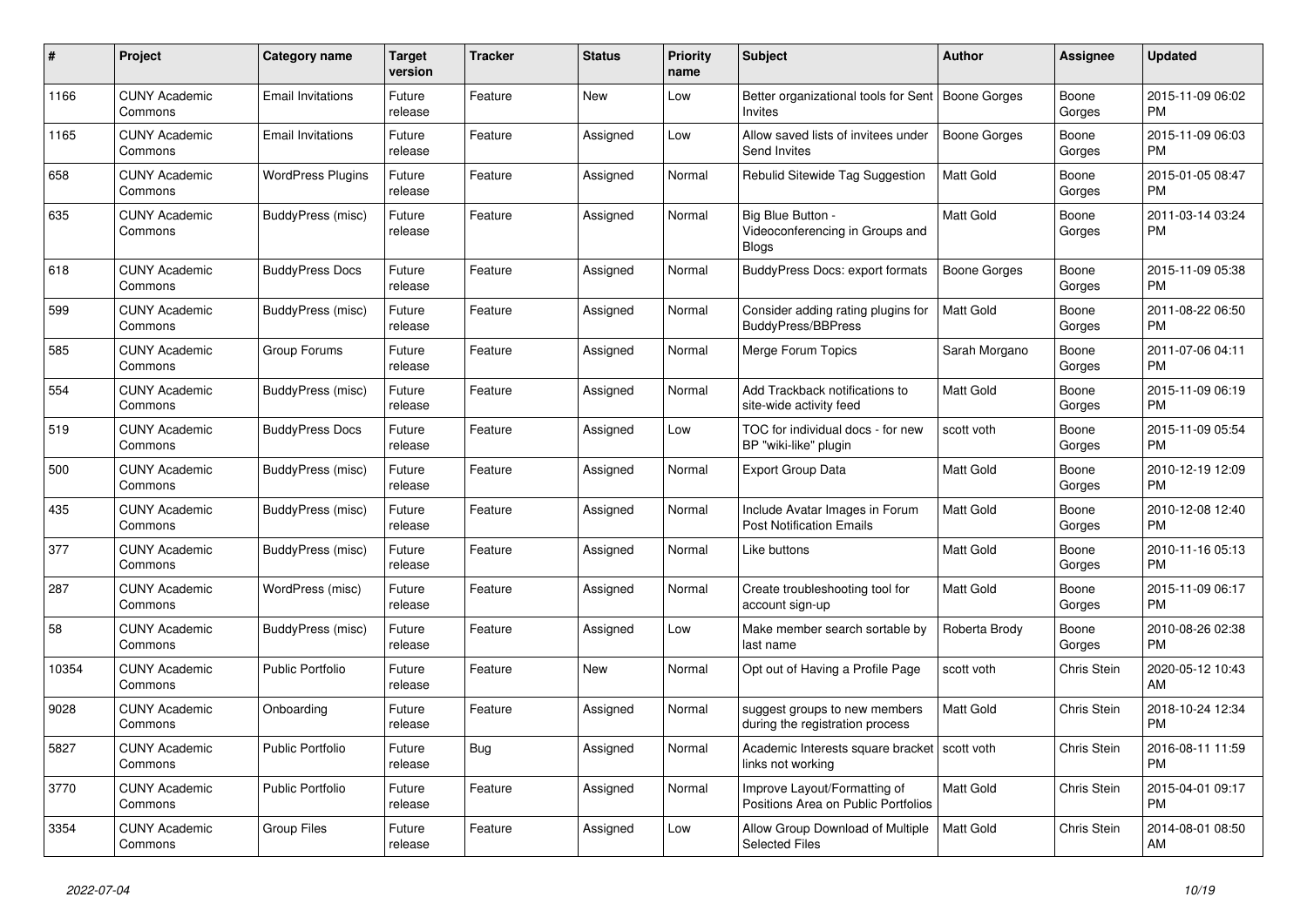| $\#$  | Project                         | <b>Category name</b>     | Target<br>version | <b>Tracker</b> | <b>Status</b> | Priority<br>name | <b>Subject</b>                                                       | <b>Author</b>    | Assignee           | <b>Updated</b>                |
|-------|---------------------------------|--------------------------|-------------------|----------------|---------------|------------------|----------------------------------------------------------------------|------------------|--------------------|-------------------------------|
| 1166  | <b>CUNY Academic</b><br>Commons | <b>Email Invitations</b> | Future<br>release | Feature        | New           | Low              | Better organizational tools for Sent<br>Invites                      | Boone Gorges     | Boone<br>Gorges    | 2015-11-09 06:02<br><b>PM</b> |
| 1165  | <b>CUNY Academic</b><br>Commons | <b>Email Invitations</b> | Future<br>release | Feature        | Assigned      | Low              | Allow saved lists of invitees under<br>Send Invites                  | Boone Gorges     | Boone<br>Gorges    | 2015-11-09 06:03<br><b>PM</b> |
| 658   | <b>CUNY Academic</b><br>Commons | <b>WordPress Plugins</b> | Future<br>release | Feature        | Assigned      | Normal           | Rebulid Sitewide Tag Suggestion                                      | Matt Gold        | Boone<br>Gorges    | 2015-01-05 08:47<br><b>PM</b> |
| 635   | <b>CUNY Academic</b><br>Commons | BuddyPress (misc)        | Future<br>release | Feature        | Assigned      | Normal           | Big Blue Button -<br>Videoconferencing in Groups and<br><b>Blogs</b> | Matt Gold        | Boone<br>Gorges    | 2011-03-14 03:24<br><b>PM</b> |
| 618   | <b>CUNY Academic</b><br>Commons | <b>BuddyPress Docs</b>   | Future<br>release | Feature        | Assigned      | Normal           | <b>BuddyPress Docs: export formats</b>                               | Boone Gorges     | Boone<br>Gorges    | 2015-11-09 05:38<br><b>PM</b> |
| 599   | <b>CUNY Academic</b><br>Commons | BuddyPress (misc)        | Future<br>release | Feature        | Assigned      | Normal           | Consider adding rating plugins for<br><b>BuddyPress/BBPress</b>      | <b>Matt Gold</b> | Boone<br>Gorges    | 2011-08-22 06:50<br><b>PM</b> |
| 585   | <b>CUNY Academic</b><br>Commons | Group Forums             | Future<br>release | Feature        | Assigned      | Normal           | Merge Forum Topics                                                   | Sarah Morgano    | Boone<br>Gorges    | 2011-07-06 04:11<br><b>PM</b> |
| 554   | <b>CUNY Academic</b><br>Commons | BuddyPress (misc)        | Future<br>release | Feature        | Assigned      | Normal           | Add Trackback notifications to<br>site-wide activity feed            | Matt Gold        | Boone<br>Gorges    | 2015-11-09 06:19<br><b>PM</b> |
| 519   | <b>CUNY Academic</b><br>Commons | <b>BuddyPress Docs</b>   | Future<br>release | Feature        | Assigned      | Low              | TOC for individual docs - for new<br>BP "wiki-like" plugin           | scott voth       | Boone<br>Gorges    | 2015-11-09 05:54<br><b>PM</b> |
| 500   | <b>CUNY Academic</b><br>Commons | BuddyPress (misc)        | Future<br>release | Feature        | Assigned      | Normal           | <b>Export Group Data</b>                                             | <b>Matt Gold</b> | Boone<br>Gorges    | 2010-12-19 12:09<br><b>PM</b> |
| 435   | <b>CUNY Academic</b><br>Commons | BuddyPress (misc)        | Future<br>release | Feature        | Assigned      | Normal           | Include Avatar Images in Forum<br><b>Post Notification Emails</b>    | Matt Gold        | Boone<br>Gorges    | 2010-12-08 12:40<br><b>PM</b> |
| 377   | <b>CUNY Academic</b><br>Commons | BuddyPress (misc)        | Future<br>release | Feature        | Assigned      | Normal           | Like buttons                                                         | Matt Gold        | Boone<br>Gorges    | 2010-11-16 05:13<br><b>PM</b> |
| 287   | <b>CUNY Academic</b><br>Commons | WordPress (misc)         | Future<br>release | Feature        | Assigned      | Normal           | Create troubleshooting tool for<br>account sign-up                   | Matt Gold        | Boone<br>Gorges    | 2015-11-09 06:17<br><b>PM</b> |
| 58    | <b>CUNY Academic</b><br>Commons | BuddyPress (misc)        | Future<br>release | Feature        | Assigned      | Low              | Make member search sortable by<br>last name                          | Roberta Brody    | Boone<br>Gorges    | 2010-08-26 02:38<br><b>PM</b> |
| 10354 | <b>CUNY Academic</b><br>Commons | <b>Public Portfolio</b>  | Future<br>release | Feature        | New           | Normal           | Opt out of Having a Profile Page                                     | scott voth       | <b>Chris Stein</b> | 2020-05-12 10:43<br>AM        |
| 9028  | <b>CUNY Academic</b><br>Commons | Onboarding               | Future<br>release | Feature        | Assigned      | Normal           | suggest groups to new members<br>during the registration process     | Matt Gold        | Chris Stein        | 2018-10-24 12:34<br><b>PM</b> |
| 5827  | <b>CUNY Academic</b><br>Commons | <b>Public Portfolio</b>  | Future<br>release | Bug            | Assigned      | Normal           | Academic Interests square bracket<br>links not working               | scott voth       | Chris Stein        | 2016-08-11 11:59<br><b>PM</b> |
| 3770  | <b>CUNY Academic</b><br>Commons | <b>Public Portfolio</b>  | Future<br>release | Feature        | Assigned      | Normal           | Improve Layout/Formatting of<br>Positions Area on Public Portfolios  | Matt Gold        | Chris Stein        | 2015-04-01 09:17<br><b>PM</b> |
| 3354  | <b>CUNY Academic</b><br>Commons | <b>Group Files</b>       | Future<br>release | Feature        | Assigned      | Low              | Allow Group Download of Multiple<br><b>Selected Files</b>            | Matt Gold        | Chris Stein        | 2014-08-01 08:50<br>AM        |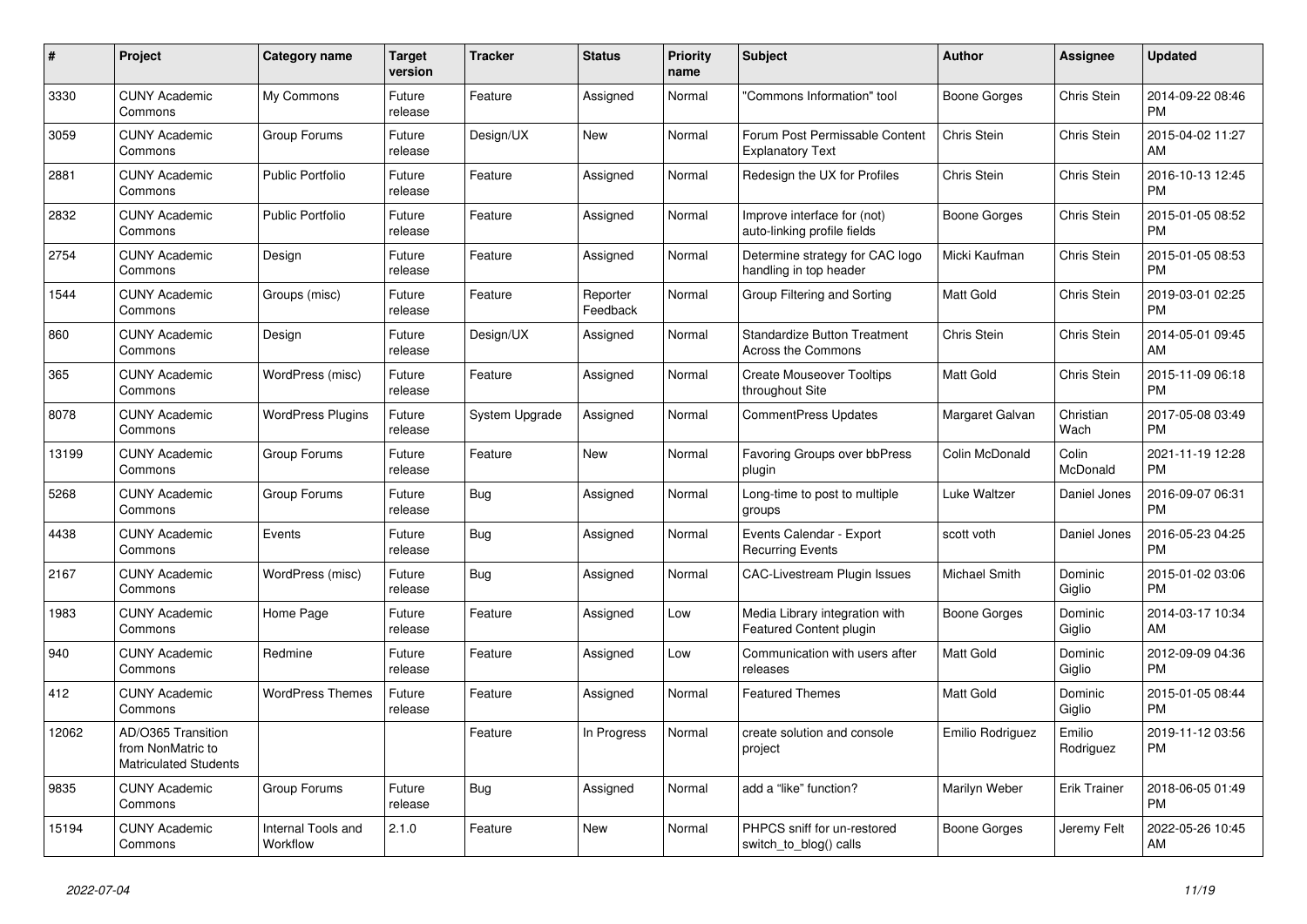| $\pmb{\#}$ | <b>Project</b>                                                          | <b>Category name</b>           | <b>Target</b><br>version | <b>Tracker</b> | <b>Status</b>        | <b>Priority</b><br>name | <b>Subject</b>                                                   | <b>Author</b>    | Assignee            | <b>Updated</b>                |
|------------|-------------------------------------------------------------------------|--------------------------------|--------------------------|----------------|----------------------|-------------------------|------------------------------------------------------------------|------------------|---------------------|-------------------------------|
| 3330       | <b>CUNY Academic</b><br>Commons                                         | My Commons                     | Future<br>release        | Feature        | Assigned             | Normal                  | "Commons Information" tool                                       | Boone Gorges     | Chris Stein         | 2014-09-22 08:46<br><b>PM</b> |
| 3059       | <b>CUNY Academic</b><br>Commons                                         | Group Forums                   | Future<br>release        | Design/UX      | New                  | Normal                  | Forum Post Permissable Content<br><b>Explanatory Text</b>        | Chris Stein      | Chris Stein         | 2015-04-02 11:27<br>AM        |
| 2881       | <b>CUNY Academic</b><br>Commons                                         | <b>Public Portfolio</b>        | Future<br>release        | Feature        | Assigned             | Normal                  | Redesign the UX for Profiles                                     | Chris Stein      | Chris Stein         | 2016-10-13 12:45<br><b>PM</b> |
| 2832       | <b>CUNY Academic</b><br>Commons                                         | <b>Public Portfolio</b>        | Future<br>release        | Feature        | Assigned             | Normal                  | Improve interface for (not)<br>auto-linking profile fields       | Boone Gorges     | Chris Stein         | 2015-01-05 08:52<br><b>PM</b> |
| 2754       | <b>CUNY Academic</b><br>Commons                                         | Design                         | Future<br>release        | Feature        | Assigned             | Normal                  | Determine strategy for CAC logo<br>handling in top header        | Micki Kaufman    | Chris Stein         | 2015-01-05 08:53<br><b>PM</b> |
| 1544       | <b>CUNY Academic</b><br>Commons                                         | Groups (misc)                  | Future<br>release        | Feature        | Reporter<br>Feedback | Normal                  | Group Filtering and Sorting                                      | Matt Gold        | Chris Stein         | 2019-03-01 02:25<br><b>PM</b> |
| 860        | <b>CUNY Academic</b><br>Commons                                         | Design                         | Future<br>release        | Design/UX      | Assigned             | Normal                  | <b>Standardize Button Treatment</b><br><b>Across the Commons</b> | Chris Stein      | Chris Stein         | 2014-05-01 09:45<br>AM        |
| 365        | <b>CUNY Academic</b><br>Commons                                         | WordPress (misc)               | Future<br>release        | Feature        | Assigned             | Normal                  | <b>Create Mouseover Tooltips</b><br>throughout Site              | Matt Gold        | Chris Stein         | 2015-11-09 06:18<br><b>PM</b> |
| 8078       | <b>CUNY Academic</b><br>Commons                                         | <b>WordPress Plugins</b>       | Future<br>release        | System Upgrade | Assigned             | Normal                  | <b>CommentPress Updates</b>                                      | Margaret Galvan  | Christian<br>Wach   | 2017-05-08 03:49<br><b>PM</b> |
| 13199      | <b>CUNY Academic</b><br>Commons                                         | Group Forums                   | Future<br>release        | Feature        | <b>New</b>           | Normal                  | Favoring Groups over bbPress<br>plugin                           | Colin McDonald   | Colin<br>McDonald   | 2021-11-19 12:28<br><b>PM</b> |
| 5268       | <b>CUNY Academic</b><br>Commons                                         | Group Forums                   | Future<br>release        | Bug            | Assigned             | Normal                  | Long-time to post to multiple<br>groups                          | Luke Waltzer     | Daniel Jones        | 2016-09-07 06:31<br><b>PM</b> |
| 4438       | <b>CUNY Academic</b><br>Commons                                         | Events                         | Future<br>release        | Bug            | Assigned             | Normal                  | Events Calendar - Export<br><b>Recurring Events</b>              | scott voth       | Daniel Jones        | 2016-05-23 04:25<br><b>PM</b> |
| 2167       | <b>CUNY Academic</b><br>Commons                                         | WordPress (misc)               | Future<br>release        | Bug            | Assigned             | Normal                  | <b>CAC-Livestream Plugin Issues</b>                              | Michael Smith    | Dominic<br>Giglio   | 2015-01-02 03:06<br><b>PM</b> |
| 1983       | <b>CUNY Academic</b><br>Commons                                         | Home Page                      | Future<br>release        | Feature        | Assigned             | Low                     | Media Library integration with<br>Featured Content plugin        | Boone Gorges     | Dominic<br>Giglio   | 2014-03-17 10:34<br>AM        |
| 940        | <b>CUNY Academic</b><br>Commons                                         | Redmine                        | Future<br>release        | Feature        | Assigned             | Low                     | Communication with users after<br>releases                       | Matt Gold        | Dominic<br>Giglio   | 2012-09-09 04:36<br><b>PM</b> |
| 412        | <b>CUNY Academic</b><br>Commons                                         | <b>WordPress Themes</b>        | Future<br>release        | Feature        | Assigned             | Normal                  | <b>Featured Themes</b>                                           | Matt Gold        | Dominic<br>Giglio   | 2015-01-05 08:44<br><b>PM</b> |
| 12062      | AD/O365 Transition<br>from NonMatric to<br><b>Matriculated Students</b> |                                |                          | Feature        | In Progress          | Normal                  | create solution and console<br>project                           | Emilio Rodriguez | Emilio<br>Rodriguez | 2019-11-12 03:56<br><b>PM</b> |
| 9835       | <b>CUNY Academic</b><br>Commons                                         | Group Forums                   | Future<br>release        | Bug            | Assigned             | Normal                  | add a "like" function?                                           | Marilyn Weber    | <b>Erik Trainer</b> | 2018-06-05 01:49<br><b>PM</b> |
| 15194      | CUNY Academic<br>Commons                                                | Internal Tools and<br>Workflow | 2.1.0                    | Feature        | <b>New</b>           | Normal                  | PHPCS sniff for un-restored<br>switch_to_blog() calls            | Boone Gorges     | Jeremy Felt         | 2022-05-26 10:45<br>AM        |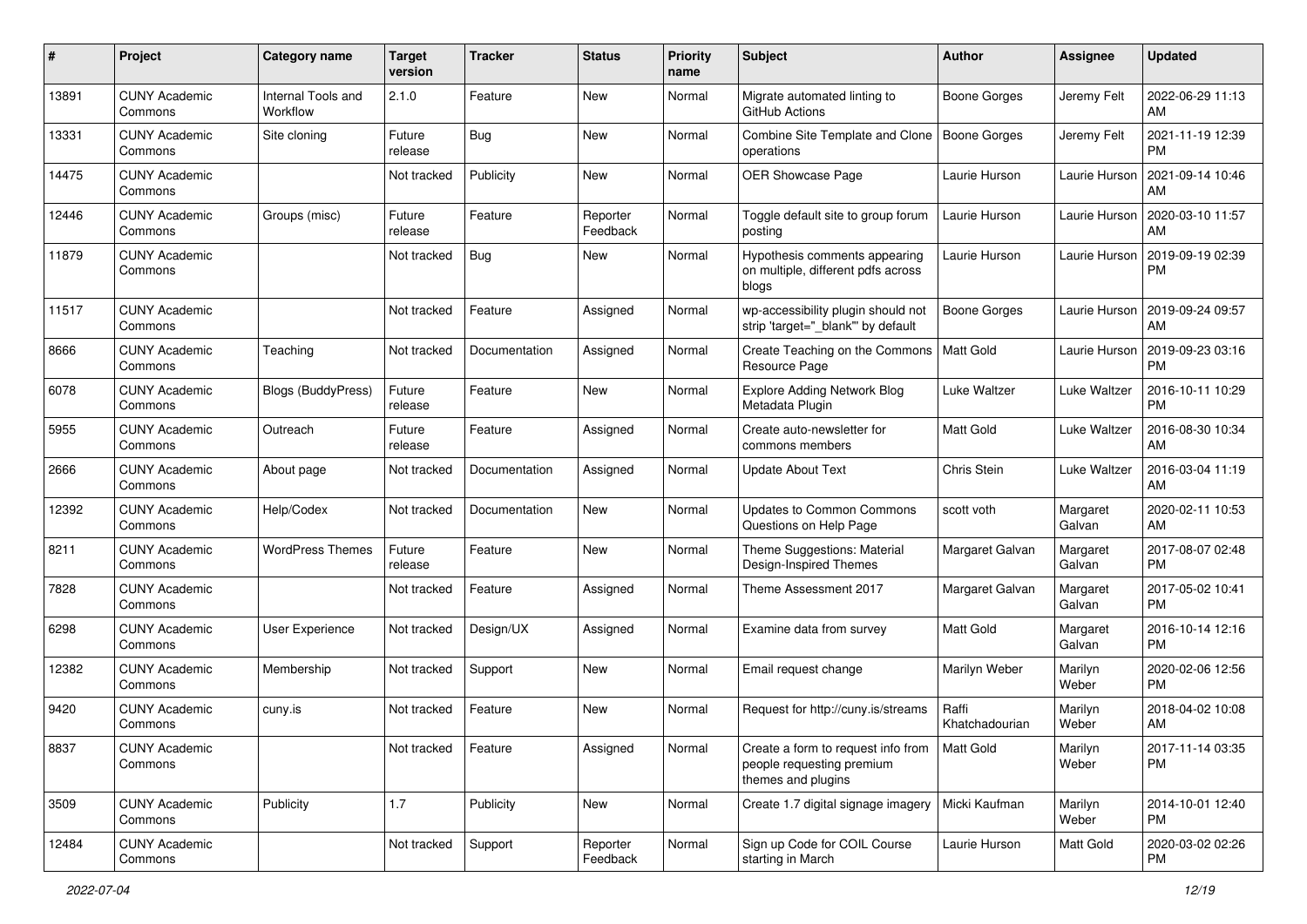| #     | Project                         | <b>Category name</b>           | <b>Target</b><br>version | <b>Tracker</b> | <b>Status</b>        | <b>Priority</b><br>name | <b>Subject</b>                                                                        | <b>Author</b>           | <b>Assignee</b>    | <b>Updated</b>                |
|-------|---------------------------------|--------------------------------|--------------------------|----------------|----------------------|-------------------------|---------------------------------------------------------------------------------------|-------------------------|--------------------|-------------------------------|
| 13891 | <b>CUNY Academic</b><br>Commons | Internal Tools and<br>Workflow | 2.1.0                    | Feature        | New                  | Normal                  | Migrate automated linting to<br>GitHub Actions                                        | Boone Gorges            | Jeremy Felt        | 2022-06-29 11:13<br>AM.       |
| 13331 | <b>CUNY Academic</b><br>Commons | Site cloning                   | Future<br>release        | Bug            | New                  | Normal                  | Combine Site Template and Clone<br>operations                                         | Boone Gorges            | Jeremy Felt        | 2021-11-19 12:39<br><b>PM</b> |
| 14475 | <b>CUNY Academic</b><br>Commons |                                | Not tracked              | Publicity      | New                  | Normal                  | OER Showcase Page                                                                     | Laurie Hurson           | Laurie Hurson      | 2021-09-14 10:46<br>AM        |
| 12446 | <b>CUNY Academic</b><br>Commons | Groups (misc)                  | Future<br>release        | Feature        | Reporter<br>Feedback | Normal                  | Toggle default site to group forum<br>posting                                         | Laurie Hurson           | Laurie Hurson      | 2020-03-10 11:57<br>AM        |
| 11879 | <b>CUNY Academic</b><br>Commons |                                | Not tracked              | Bug            | New                  | Normal                  | Hypothesis comments appearing<br>on multiple, different pdfs across<br>blogs          | Laurie Hurson           | Laurie Hurson      | 2019-09-19 02:39<br>PM        |
| 11517 | <b>CUNY Academic</b><br>Commons |                                | Not tracked              | Feature        | Assigned             | Normal                  | wp-accessibility plugin should not<br>strip 'target="_blank"' by default              | Boone Gorges            | Laurie Hurson      | 2019-09-24 09:57<br>AM        |
| 8666  | <b>CUNY Academic</b><br>Commons | Teaching                       | Not tracked              | Documentation  | Assigned             | Normal                  | Create Teaching on the Commons<br>Resource Page                                       | <b>Matt Gold</b>        | Laurie Hurson      | 2019-09-23 03:16<br><b>PM</b> |
| 6078  | <b>CUNY Academic</b><br>Commons | Blogs (BuddyPress)             | Future<br>release        | Feature        | New                  | Normal                  | Explore Adding Network Blog<br>Metadata Plugin                                        | Luke Waltzer            | Luke Waltzer       | 2016-10-11 10:29<br><b>PM</b> |
| 5955  | <b>CUNY Academic</b><br>Commons | Outreach                       | Future<br>release        | Feature        | Assigned             | Normal                  | Create auto-newsletter for<br>commons members                                         | <b>Matt Gold</b>        | Luke Waltzer       | 2016-08-30 10:34<br>AM        |
| 2666  | <b>CUNY Academic</b><br>Commons | About page                     | Not tracked              | Documentation  | Assigned             | Normal                  | <b>Update About Text</b>                                                              | Chris Stein             | Luke Waltzer       | 2016-03-04 11:19<br>AM        |
| 12392 | <b>CUNY Academic</b><br>Commons | Help/Codex                     | Not tracked              | Documentation  | New                  | Normal                  | <b>Updates to Common Commons</b><br>Questions on Help Page                            | scott voth              | Margaret<br>Galvan | 2020-02-11 10:53<br>AM        |
| 8211  | <b>CUNY Academic</b><br>Commons | <b>WordPress Themes</b>        | Future<br>release        | Feature        | New                  | Normal                  | Theme Suggestions: Material<br>Design-Inspired Themes                                 | Margaret Galvan         | Margaret<br>Galvan | 2017-08-07 02:48<br><b>PM</b> |
| 7828  | <b>CUNY Academic</b><br>Commons |                                | Not tracked              | Feature        | Assigned             | Normal                  | Theme Assessment 2017                                                                 | Margaret Galvan         | Margaret<br>Galvan | 2017-05-02 10:41<br><b>PM</b> |
| 6298  | <b>CUNY Academic</b><br>Commons | <b>User Experience</b>         | Not tracked              | Design/UX      | Assigned             | Normal                  | Examine data from survey                                                              | <b>Matt Gold</b>        | Margaret<br>Galvan | 2016-10-14 12:16<br><b>PM</b> |
| 12382 | <b>CUNY Academic</b><br>Commons | Membership                     | Not tracked              | Support        | <b>New</b>           | Normal                  | Email request change                                                                  | Marilyn Weber           | Marilyn<br>Weber   | 2020-02-06 12:56<br><b>PM</b> |
| 9420  | <b>CUNY Academic</b><br>Commons | cuny.is                        | Not tracked              | Feature        | <b>New</b>           | Normal                  | Request for http://cuny.is/streams                                                    | Raffi<br>Khatchadourian | Marilyn<br>Weber   | 2018-04-02 10:08<br>AM        |
| 8837  | <b>CUNY Academic</b><br>Commons |                                | Not tracked              | Feature        | Assigned             | Normal                  | Create a form to request info from<br>people requesting premium<br>themes and plugins | Matt Gold               | Marilyn<br>Weber   | 2017-11-14 03:35<br>PM        |
| 3509  | <b>CUNY Academic</b><br>Commons | Publicity                      | 1.7                      | Publicity      | New                  | Normal                  | Create 1.7 digital signage imagery                                                    | Micki Kaufman           | Marilyn<br>Weber   | 2014-10-01 12:40<br><b>PM</b> |
| 12484 | <b>CUNY Academic</b><br>Commons |                                | Not tracked              | Support        | Reporter<br>Feedback | Normal                  | Sign up Code for COIL Course<br>starting in March                                     | Laurie Hurson           | Matt Gold          | 2020-03-02 02:26<br><b>PM</b> |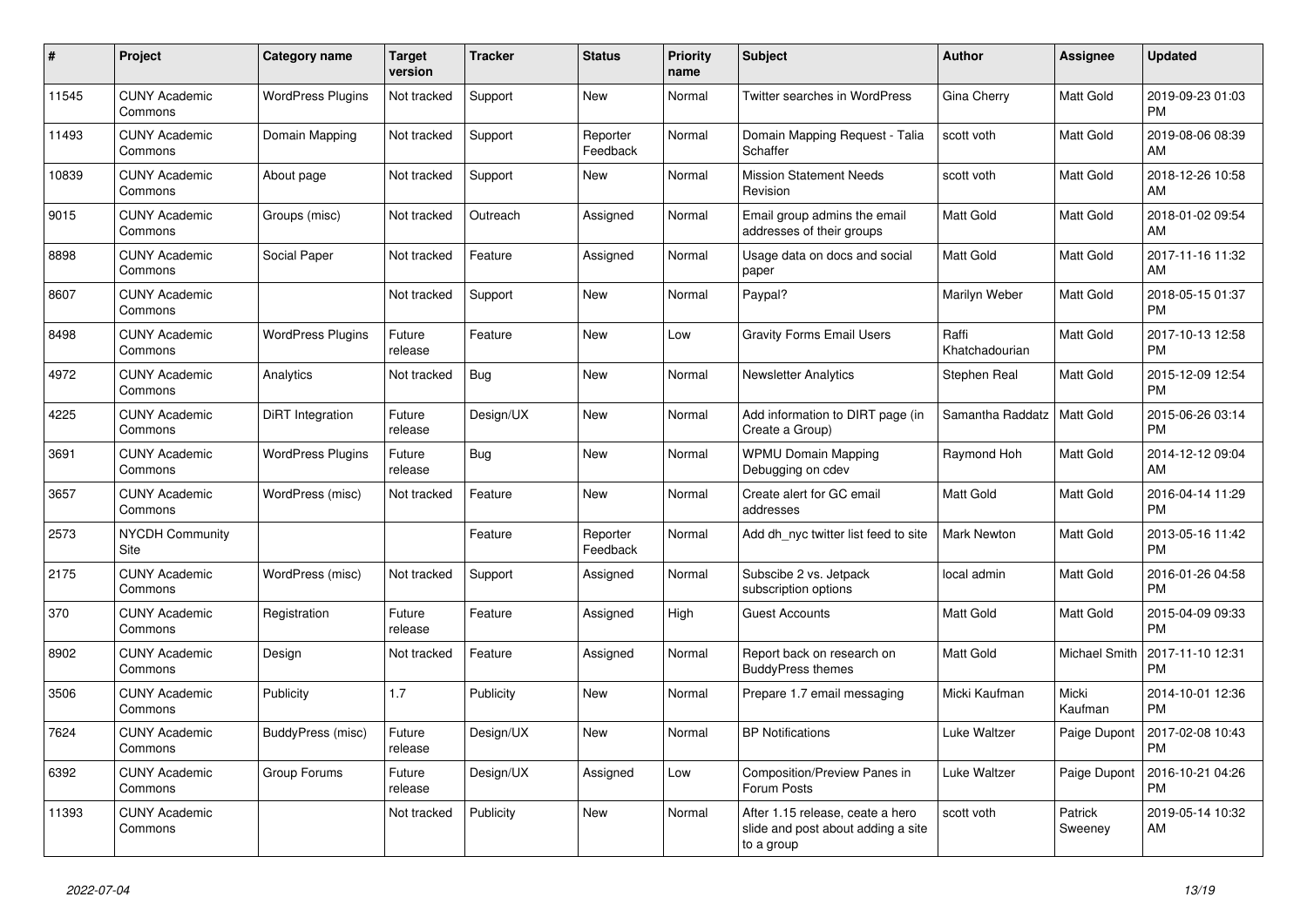| #     | <b>Project</b>                        | Category name            | <b>Target</b><br>version | <b>Tracker</b> | <b>Status</b>        | <b>Priority</b><br>name | <b>Subject</b>                                                                       | <b>Author</b>           | Assignee           | <b>Updated</b>                |
|-------|---------------------------------------|--------------------------|--------------------------|----------------|----------------------|-------------------------|--------------------------------------------------------------------------------------|-------------------------|--------------------|-------------------------------|
| 11545 | <b>CUNY Academic</b><br>Commons       | <b>WordPress Plugins</b> | Not tracked              | Support        | New                  | Normal                  | <b>Twitter searches in WordPress</b>                                                 | Gina Cherry             | Matt Gold          | 2019-09-23 01:03<br><b>PM</b> |
| 11493 | <b>CUNY Academic</b><br>Commons       | Domain Mapping           | Not tracked              | Support        | Reporter<br>Feedback | Normal                  | Domain Mapping Request - Talia<br>Schaffer                                           | scott voth              | Matt Gold          | 2019-08-06 08:39<br>AM        |
| 10839 | <b>CUNY Academic</b><br>Commons       | About page               | Not tracked              | Support        | <b>New</b>           | Normal                  | <b>Mission Statement Needs</b><br>Revision                                           | scott voth              | Matt Gold          | 2018-12-26 10:58<br>AM        |
| 9015  | <b>CUNY Academic</b><br>Commons       | Groups (misc)            | Not tracked              | Outreach       | Assigned             | Normal                  | Email group admins the email<br>addresses of their groups                            | Matt Gold               | Matt Gold          | 2018-01-02 09:54<br>AM        |
| 8898  | <b>CUNY Academic</b><br>Commons       | Social Paper             | Not tracked              | Feature        | Assigned             | Normal                  | Usage data on docs and social<br>paper                                               | Matt Gold               | Matt Gold          | 2017-11-16 11:32<br>AM        |
| 8607  | <b>CUNY Academic</b><br>Commons       |                          | Not tracked              | Support        | New                  | Normal                  | Paypal?                                                                              | Marilyn Weber           | Matt Gold          | 2018-05-15 01:37<br><b>PM</b> |
| 8498  | <b>CUNY Academic</b><br>Commons       | <b>WordPress Plugins</b> | Future<br>release        | Feature        | <b>New</b>           | Low                     | <b>Gravity Forms Email Users</b>                                                     | Raffi<br>Khatchadourian | Matt Gold          | 2017-10-13 12:58<br><b>PM</b> |
| 4972  | <b>CUNY Academic</b><br>Commons       | Analytics                | Not tracked              | Bug            | New                  | Normal                  | <b>Newsletter Analytics</b>                                                          | Stephen Real            | Matt Gold          | 2015-12-09 12:54<br><b>PM</b> |
| 4225  | <b>CUNY Academic</b><br>Commons       | DiRT Integration         | Future<br>release        | Design/UX      | New                  | Normal                  | Add information to DIRT page (in<br>Create a Group)                                  | Samantha Raddatz        | Matt Gold          | 2015-06-26 03:14<br><b>PM</b> |
| 3691  | <b>CUNY Academic</b><br>Commons       | <b>WordPress Plugins</b> | Future<br>release        | Bug            | <b>New</b>           | Normal                  | <b>WPMU Domain Mapping</b><br>Debugging on cdev                                      | Raymond Hoh             | Matt Gold          | 2014-12-12 09:04<br>AM        |
| 3657  | <b>CUNY Academic</b><br>Commons       | WordPress (misc)         | Not tracked              | Feature        | New                  | Normal                  | Create alert for GC email<br>addresses                                               | Matt Gold               | Matt Gold          | 2016-04-14 11:29<br><b>PM</b> |
| 2573  | <b>NYCDH Community</b><br><b>Site</b> |                          |                          | Feature        | Reporter<br>Feedback | Normal                  | Add dh_nyc twitter list feed to site                                                 | Mark Newton             | Matt Gold          | 2013-05-16 11:42<br><b>PM</b> |
| 2175  | <b>CUNY Academic</b><br>Commons       | WordPress (misc)         | Not tracked              | Support        | Assigned             | Normal                  | Subscibe 2 vs. Jetpack<br>subscription options                                       | local admin             | Matt Gold          | 2016-01-26 04:58<br><b>PM</b> |
| 370   | <b>CUNY Academic</b><br>Commons       | Registration             | Future<br>release        | Feature        | Assigned             | High                    | <b>Guest Accounts</b>                                                                | <b>Matt Gold</b>        | Matt Gold          | 2015-04-09 09:33<br><b>PM</b> |
| 8902  | <b>CUNY Academic</b><br>Commons       | Design                   | Not tracked              | Feature        | Assigned             | Normal                  | Report back on research on<br><b>BuddyPress themes</b>                               | Matt Gold               | Michael Smith      | 2017-11-10 12:31<br><b>PM</b> |
| 3506  | <b>CUNY Academic</b><br>Commons       | Publicity                | 1.7                      | Publicity      | <b>New</b>           | Normal                  | Prepare 1.7 email messaging                                                          | Micki Kaufman           | Micki<br>Kaufman   | 2014-10-01 12:36<br><b>PM</b> |
| 7624  | <b>CUNY Academic</b><br>Commons       | BuddyPress (misc)        | Future<br>release        | Design/UX      | New                  | Normal                  | <b>BP Notifications</b>                                                              | Luke Waltzer            | Paige Dupont       | 2017-02-08 10:43<br><b>PM</b> |
| 6392  | <b>CUNY Academic</b><br>Commons       | Group Forums             | Future<br>release        | Design/UX      | Assigned             | Low                     | Composition/Preview Panes in<br>Forum Posts                                          | Luke Waltzer            | Paige Dupont       | 2016-10-21 04:26<br><b>PM</b> |
| 11393 | <b>CUNY Academic</b><br>Commons       |                          | Not tracked              | Publicity      | <b>New</b>           | Normal                  | After 1.15 release, ceate a hero<br>slide and post about adding a site<br>to a group | scott voth              | Patrick<br>Sweenev | 2019-05-14 10:32<br>AM        |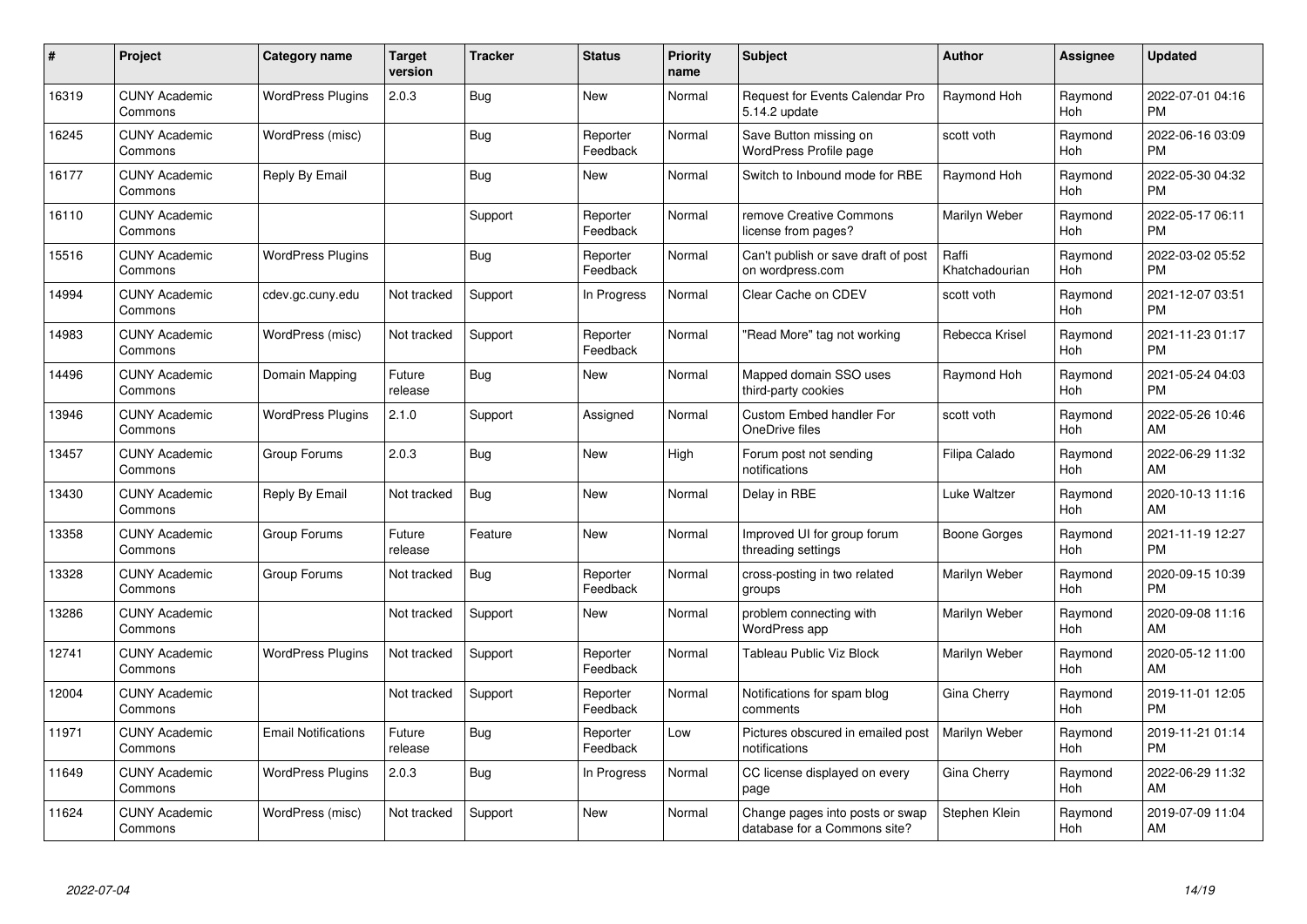| $\#$  | Project                         | <b>Category name</b>       | <b>Target</b><br>version | <b>Tracker</b> | <b>Status</b>        | Priority<br>name | <b>Subject</b>                                                  | <b>Author</b>           | <b>Assignee</b> | <b>Updated</b>                |
|-------|---------------------------------|----------------------------|--------------------------|----------------|----------------------|------------------|-----------------------------------------------------------------|-------------------------|-----------------|-------------------------------|
| 16319 | <b>CUNY Academic</b><br>Commons | <b>WordPress Plugins</b>   | 2.0.3                    | Bug            | <b>New</b>           | Normal           | Request for Events Calendar Pro<br>5.14.2 update                | Raymond Hoh             | Raymond<br>Hoh  | 2022-07-01 04:16<br><b>PM</b> |
| 16245 | <b>CUNY Academic</b><br>Commons | WordPress (misc)           |                          | Bug            | Reporter<br>Feedback | Normal           | Save Button missing on<br>WordPress Profile page                | scott voth              | Raymond<br>Hoh  | 2022-06-16 03:09<br><b>PM</b> |
| 16177 | <b>CUNY Academic</b><br>Commons | Reply By Email             |                          | <b>Bug</b>     | New                  | Normal           | Switch to Inbound mode for RBE                                  | Raymond Hoh             | Raymond<br>Hoh  | 2022-05-30 04:32<br><b>PM</b> |
| 16110 | <b>CUNY Academic</b><br>Commons |                            |                          | Support        | Reporter<br>Feedback | Normal           | remove Creative Commons<br>license from pages?                  | Marilyn Weber           | Raymond<br>Hoh  | 2022-05-17 06:11<br><b>PM</b> |
| 15516 | <b>CUNY Academic</b><br>Commons | <b>WordPress Plugins</b>   |                          | Bug            | Reporter<br>Feedback | Normal           | Can't publish or save draft of post<br>on wordpress.com         | Raffi<br>Khatchadourian | Raymond<br>Hoh  | 2022-03-02 05:52<br><b>PM</b> |
| 14994 | <b>CUNY Academic</b><br>Commons | cdev.gc.cuny.edu           | Not tracked              | Support        | In Progress          | Normal           | Clear Cache on CDEV                                             | scott voth              | Raymond<br>Hoh  | 2021-12-07 03:51<br><b>PM</b> |
| 14983 | <b>CUNY Academic</b><br>Commons | WordPress (misc)           | Not tracked              | Support        | Reporter<br>Feedback | Normal           | "Read More" tag not working                                     | Rebecca Krisel          | Raymond<br>Hoh  | 2021-11-23 01:17<br><b>PM</b> |
| 14496 | <b>CUNY Academic</b><br>Commons | Domain Mapping             | Future<br>release        | Bug            | New                  | Normal           | Mapped domain SSO uses<br>third-party cookies                   | Raymond Hoh             | Raymond<br>Hoh  | 2021-05-24 04:03<br><b>PM</b> |
| 13946 | <b>CUNY Academic</b><br>Commons | <b>WordPress Plugins</b>   | 2.1.0                    | Support        | Assigned             | Normal           | Custom Embed handler For<br>OneDrive files                      | scott voth              | Raymond<br>Hoh  | 2022-05-26 10:46<br>AM        |
| 13457 | <b>CUNY Academic</b><br>Commons | Group Forums               | 2.0.3                    | <b>Bug</b>     | <b>New</b>           | High             | Forum post not sending<br>notifications                         | Filipa Calado           | Raymond<br>Hoh  | 2022-06-29 11:32<br>AM        |
| 13430 | <b>CUNY Academic</b><br>Commons | Reply By Email             | Not tracked              | Bug            | New                  | Normal           | Delay in RBE                                                    | Luke Waltzer            | Raymond<br>Hoh  | 2020-10-13 11:16<br>AM        |
| 13358 | <b>CUNY Academic</b><br>Commons | Group Forums               | Future<br>release        | Feature        | New                  | Normal           | Improved UI for group forum<br>threading settings               | Boone Gorges            | Raymond<br>Hoh  | 2021-11-19 12:27<br><b>PM</b> |
| 13328 | <b>CUNY Academic</b><br>Commons | Group Forums               | Not tracked              | Bug            | Reporter<br>Feedback | Normal           | cross-posting in two related<br>groups                          | Marilyn Weber           | Raymond<br>Hoh  | 2020-09-15 10:39<br><b>PM</b> |
| 13286 | <b>CUNY Academic</b><br>Commons |                            | Not tracked              | Support        | New                  | Normal           | problem connecting with<br><b>WordPress app</b>                 | Marilyn Weber           | Raymond<br>Hoh  | 2020-09-08 11:16<br>AM        |
| 12741 | <b>CUNY Academic</b><br>Commons | <b>WordPress Plugins</b>   | Not tracked              | Support        | Reporter<br>Feedback | Normal           | Tableau Public Viz Block                                        | Marilyn Weber           | Raymond<br>Hoh  | 2020-05-12 11:00<br>AM        |
| 12004 | <b>CUNY Academic</b><br>Commons |                            | Not tracked              | Support        | Reporter<br>Feedback | Normal           | Notifications for spam blog<br>comments                         | Gina Cherry             | Raymond<br>Hoh  | 2019-11-01 12:05<br><b>PM</b> |
| 11971 | <b>CUNY Academic</b><br>Commons | <b>Email Notifications</b> | Future<br>release        | Bug            | Reporter<br>Feedback | Low              | Pictures obscured in emailed post<br>notifications              | Marilyn Weber           | Raymond<br>Hoh  | 2019-11-21 01:14<br><b>PM</b> |
| 11649 | <b>CUNY Academic</b><br>Commons | <b>WordPress Plugins</b>   | 2.0.3                    | Bug            | In Progress          | Normal           | CC license displayed on every<br>page                           | Gina Cherry             | Raymond<br>Hoh  | 2022-06-29 11:32<br>AM        |
| 11624 | <b>CUNY Academic</b><br>Commons | WordPress (misc)           | Not tracked              | Support        | New                  | Normal           | Change pages into posts or swap<br>database for a Commons site? | Stephen Klein           | Raymond<br>Hoh  | 2019-07-09 11:04<br>AM        |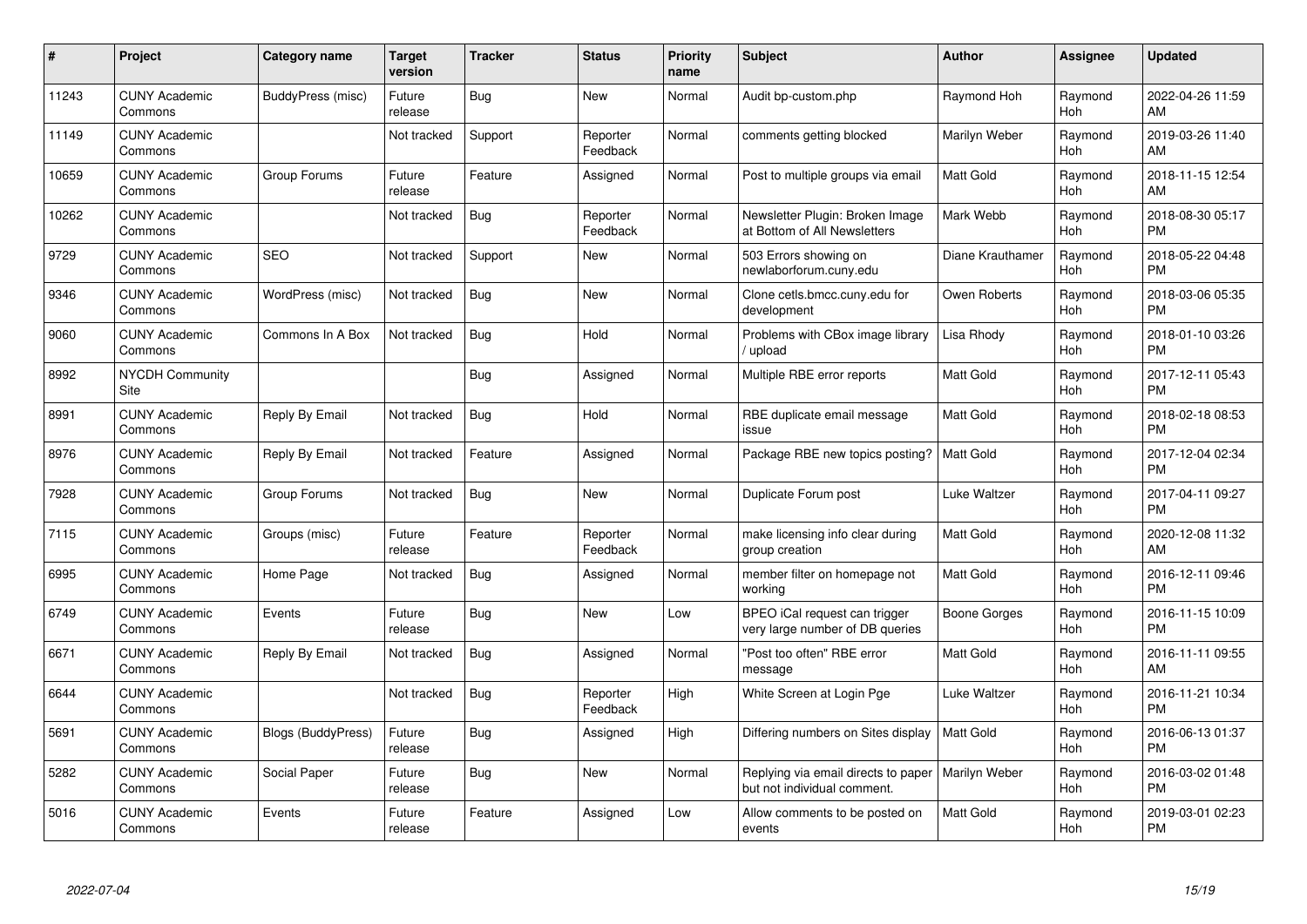| #     | Project                         | <b>Category name</b>      | <b>Target</b><br>version | <b>Tracker</b> | <b>Status</b>        | <b>Priority</b><br>name | <b>Subject</b>                                                     | <b>Author</b>        | Assignee       | <b>Updated</b>                |
|-------|---------------------------------|---------------------------|--------------------------|----------------|----------------------|-------------------------|--------------------------------------------------------------------|----------------------|----------------|-------------------------------|
| 11243 | <b>CUNY Academic</b><br>Commons | BuddyPress (misc)         | Future<br>release        | Bug            | <b>New</b>           | Normal                  | Audit bp-custom.php                                                | Raymond Hoh          | Raymond<br>Hoh | 2022-04-26 11:59<br>AM        |
| 11149 | <b>CUNY Academic</b><br>Commons |                           | Not tracked              | Support        | Reporter<br>Feedback | Normal                  | comments getting blocked                                           | Marilyn Weber        | Raymond<br>Hoh | 2019-03-26 11:40<br>AM        |
| 10659 | <b>CUNY Academic</b><br>Commons | Group Forums              | Future<br>release        | Feature        | Assigned             | Normal                  | Post to multiple groups via email                                  | <b>Matt Gold</b>     | Raymond<br>Hoh | 2018-11-15 12:54<br>AM        |
| 10262 | <b>CUNY Academic</b><br>Commons |                           | Not tracked              | Bug            | Reporter<br>Feedback | Normal                  | Newsletter Plugin: Broken Image<br>at Bottom of All Newsletters    | Mark Webb            | Raymond<br>Hoh | 2018-08-30 05:17<br><b>PM</b> |
| 9729  | <b>CUNY Academic</b><br>Commons | <b>SEO</b>                | Not tracked              | Support        | <b>New</b>           | Normal                  | 503 Errors showing on<br>newlaborforum.cuny.edu                    | Diane Krauthamer     | Raymond<br>Hoh | 2018-05-22 04:48<br><b>PM</b> |
| 9346  | <b>CUNY Academic</b><br>Commons | WordPress (misc)          | Not tracked              | Bug            | <b>New</b>           | Normal                  | Clone cetls.bmcc.cuny.edu for<br>development                       | Owen Roberts         | Raymond<br>Hoh | 2018-03-06 05:35<br><b>PM</b> |
| 9060  | <b>CUNY Academic</b><br>Commons | Commons In A Box          | Not tracked              | <b>Bug</b>     | Hold                 | Normal                  | Problems with CBox image library<br>upload                         | Lisa Rhody           | Raymond<br>Hoh | 2018-01-10 03:26<br><b>PM</b> |
| 8992  | <b>NYCDH Community</b><br>Site  |                           |                          | <b>Bug</b>     | Assigned             | Normal                  | Multiple RBE error reports                                         | <b>Matt Gold</b>     | Raymond<br>Hoh | 2017-12-11 05:43<br><b>PM</b> |
| 8991  | <b>CUNY Academic</b><br>Commons | Reply By Email            | Not tracked              | Bug            | Hold                 | Normal                  | RBE duplicate email message<br>issue                               | Matt Gold            | Raymond<br>Hoh | 2018-02-18 08:53<br><b>PM</b> |
| 8976  | <b>CUNY Academic</b><br>Commons | Reply By Email            | Not tracked              | Feature        | Assigned             | Normal                  | Package RBE new topics posting?                                    | <b>Matt Gold</b>     | Raymond<br>Hoh | 2017-12-04 02:34<br><b>PM</b> |
| 7928  | <b>CUNY Academic</b><br>Commons | Group Forums              | Not tracked              | Bug            | New                  | Normal                  | Duplicate Forum post                                               | Luke Waltzer         | Raymond<br>Hoh | 2017-04-11 09:27<br><b>PM</b> |
| 7115  | <b>CUNY Academic</b><br>Commons | Groups (misc)             | Future<br>release        | Feature        | Reporter<br>Feedback | Normal                  | make licensing info clear during<br>group creation                 | Matt Gold            | Raymond<br>Hoh | 2020-12-08 11:32<br>AM        |
| 6995  | <b>CUNY Academic</b><br>Commons | Home Page                 | Not tracked              | Bug            | Assigned             | Normal                  | member filter on homepage not<br>working                           | Matt Gold            | Raymond<br>Hoh | 2016-12-11 09:46<br><b>PM</b> |
| 6749  | <b>CUNY Academic</b><br>Commons | Events                    | Future<br>release        | Bug            | New                  | Low                     | BPEO iCal request can trigger<br>very large number of DB queries   | Boone Gorges         | Raymond<br>Hoh | 2016-11-15 10:09<br><b>PM</b> |
| 6671  | <b>CUNY Academic</b><br>Commons | Reply By Email            | Not tracked              | Bug            | Assigned             | Normal                  | "Post too often" RBE error<br>message                              | Matt Gold            | Raymond<br>Hoh | 2016-11-11 09:55<br>AM        |
| 6644  | <b>CUNY Academic</b><br>Commons |                           | Not tracked              | Bug            | Reporter<br>Feedback | High                    | White Screen at Login Pge                                          | Luke Waltzer         | Raymond<br>Hoh | 2016-11-21 10:34<br><b>PM</b> |
| 5691  | <b>CUNY Academic</b><br>Commons | <b>Blogs (BuddyPress)</b> | Future<br>release        | Bug            | Assigned             | High                    | Differing numbers on Sites display                                 | <b>Matt Gold</b>     | Raymond<br>Hoh | 2016-06-13 01:37<br><b>PM</b> |
| 5282  | <b>CUNY Academic</b><br>Commons | Social Paper              | Future<br>release        | Bug            | New                  | Normal                  | Replying via email directs to paper<br>but not individual comment. | <b>Marilyn Weber</b> | Raymond<br>Hoh | 2016-03-02 01:48<br><b>PM</b> |
| 5016  | CUNY Academic<br>Commons        | Events                    | Future<br>release        | Feature        | Assigned             | Low                     | Allow comments to be posted on<br>events                           | <b>Matt Gold</b>     | Raymond<br>Hoh | 2019-03-01 02:23<br><b>PM</b> |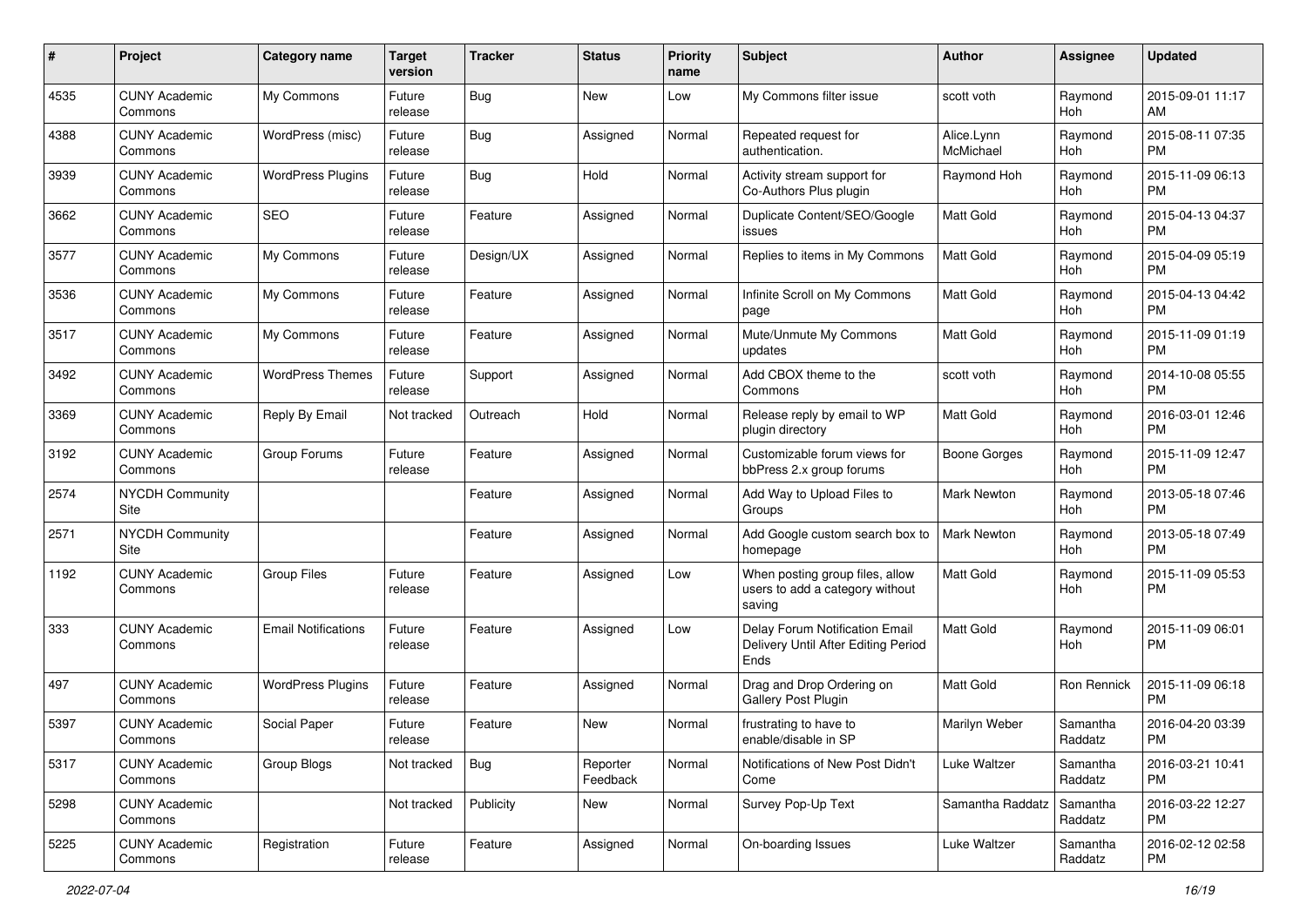| #    | Project                         | <b>Category name</b>       | <b>Target</b><br>version | <b>Tracker</b> | <b>Status</b>        | <b>Priority</b><br>name | Subject                                                                       | Author                  | Assignee            | <b>Updated</b>                |
|------|---------------------------------|----------------------------|--------------------------|----------------|----------------------|-------------------------|-------------------------------------------------------------------------------|-------------------------|---------------------|-------------------------------|
| 4535 | <b>CUNY Academic</b><br>Commons | My Commons                 | Future<br>release        | Bug            | <b>New</b>           | Low                     | My Commons filter issue                                                       | scott voth              | Raymond<br>Hoh      | 2015-09-01 11:17<br>AM        |
| 4388 | <b>CUNY Academic</b><br>Commons | WordPress (misc)           | Future<br>release        | Bug            | Assigned             | Normal                  | Repeated request for<br>authentication.                                       | Alice.Lynn<br>McMichael | Raymond<br>Hoh      | 2015-08-11 07:35<br><b>PM</b> |
| 3939 | <b>CUNY Academic</b><br>Commons | <b>WordPress Plugins</b>   | Future<br>release        | Bug            | Hold                 | Normal                  | Activity stream support for<br>Co-Authors Plus plugin                         | Raymond Hoh             | Raymond<br>Hoh      | 2015-11-09 06:13<br><b>PM</b> |
| 3662 | <b>CUNY Academic</b><br>Commons | <b>SEO</b>                 | Future<br>release        | Feature        | Assigned             | Normal                  | Duplicate Content/SEO/Google<br>issues                                        | <b>Matt Gold</b>        | Raymond<br>Hoh      | 2015-04-13 04:37<br><b>PM</b> |
| 3577 | <b>CUNY Academic</b><br>Commons | My Commons                 | Future<br>release        | Design/UX      | Assigned             | Normal                  | Replies to items in My Commons                                                | <b>Matt Gold</b>        | Raymond<br>Hoh      | 2015-04-09 05:19<br><b>PM</b> |
| 3536 | <b>CUNY Academic</b><br>Commons | My Commons                 | Future<br>release        | Feature        | Assigned             | Normal                  | Infinite Scroll on My Commons<br>page                                         | Matt Gold               | Raymond<br>Hoh      | 2015-04-13 04:42<br><b>PM</b> |
| 3517 | <b>CUNY Academic</b><br>Commons | My Commons                 | Future<br>release        | Feature        | Assigned             | Normal                  | Mute/Unmute My Commons<br>updates                                             | <b>Matt Gold</b>        | Raymond<br>Hoh      | 2015-11-09 01:19<br><b>PM</b> |
| 3492 | <b>CUNY Academic</b><br>Commons | <b>WordPress Themes</b>    | Future<br>release        | Support        | Assigned             | Normal                  | Add CBOX theme to the<br>Commons                                              | scott voth              | Raymond<br>Hoh      | 2014-10-08 05:55<br><b>PM</b> |
| 3369 | <b>CUNY Academic</b><br>Commons | Reply By Email             | Not tracked              | Outreach       | Hold                 | Normal                  | Release reply by email to WP<br>plugin directory                              | <b>Matt Gold</b>        | Raymond<br>Hoh      | 2016-03-01 12:46<br><b>PM</b> |
| 3192 | <b>CUNY Academic</b><br>Commons | Group Forums               | Future<br>release        | Feature        | Assigned             | Normal                  | Customizable forum views for<br>bbPress 2.x group forums                      | Boone Gorges            | Raymond<br>Hoh      | 2015-11-09 12:47<br><b>PM</b> |
| 2574 | <b>NYCDH Community</b><br>Site  |                            |                          | Feature        | Assigned             | Normal                  | Add Way to Upload Files to<br>Groups                                          | Mark Newton             | Raymond<br>Hoh      | 2013-05-18 07:46<br><b>PM</b> |
| 2571 | <b>NYCDH Community</b><br>Site  |                            |                          | Feature        | Assigned             | Normal                  | Add Google custom search box to<br>homepage                                   | Mark Newton             | Raymond<br>Hoh      | 2013-05-18 07:49<br><b>PM</b> |
| 1192 | <b>CUNY Academic</b><br>Commons | <b>Group Files</b>         | Future<br>release        | Feature        | Assigned             | Low                     | When posting group files, allow<br>users to add a category without<br>saving  | Matt Gold               | Raymond<br>Hoh      | 2015-11-09 05:53<br><b>PM</b> |
| 333  | <b>CUNY Academic</b><br>Commons | <b>Email Notifications</b> | Future<br>release        | Feature        | Assigned             | Low                     | Delay Forum Notification Email<br>Delivery Until After Editing Period<br>Ends | Matt Gold               | Raymond<br>Hoh      | 2015-11-09 06:01<br><b>PM</b> |
| 497  | <b>CUNY Academic</b><br>Commons | <b>WordPress Plugins</b>   | Future<br>release        | Feature        | Assigned             | Normal                  | Drag and Drop Ordering on<br>Gallery Post Plugin                              | Matt Gold               | Ron Rennick         | 2015-11-09 06:18<br><b>PM</b> |
| 5397 | <b>CUNY Academic</b><br>Commons | Social Paper               | Future<br>release        | Feature        | New                  | Normal                  | frustrating to have to<br>enable/disable in SP                                | Marilyn Weber           | Samantha<br>Raddatz | 2016-04-20 03:39<br>PM        |
| 5317 | <b>CUNY Academic</b><br>Commons | Group Blogs                | Not tracked              | <b>Bug</b>     | Reporter<br>Feedback | Normal                  | Notifications of New Post Didn't<br>Come                                      | Luke Waltzer            | Samantha<br>Raddatz | 2016-03-21 10:41<br><b>PM</b> |
| 5298 | <b>CUNY Academic</b><br>Commons |                            | Not tracked              | Publicity      | New                  | Normal                  | Survey Pop-Up Text                                                            | Samantha Raddatz        | Samantha<br>Raddatz | 2016-03-22 12:27<br><b>PM</b> |
| 5225 | <b>CUNY Academic</b><br>Commons | Registration               | Future<br>release        | Feature        | Assigned             | Normal                  | On-boarding Issues                                                            | Luke Waltzer            | Samantha<br>Raddatz | 2016-02-12 02:58<br><b>PM</b> |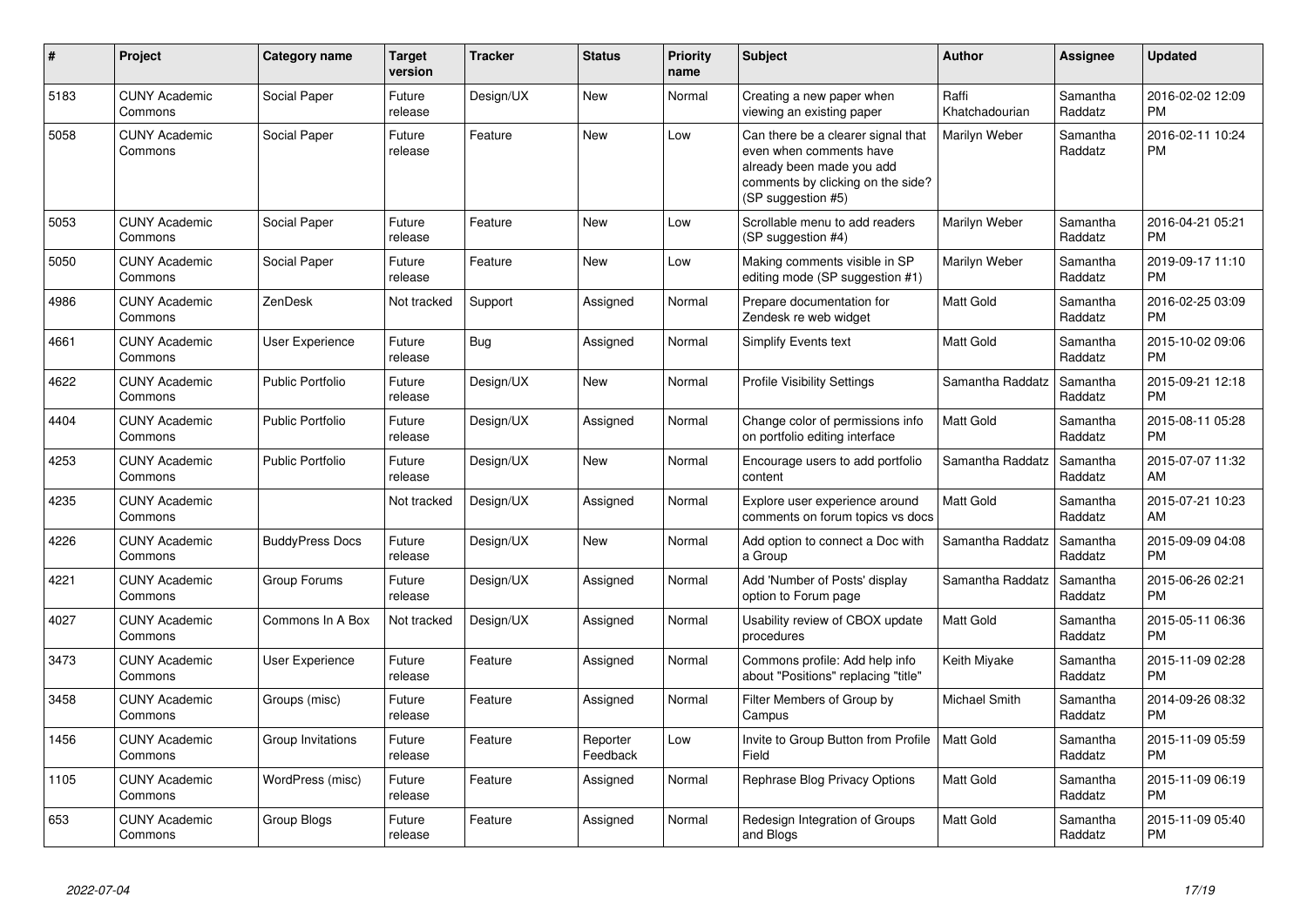| #    | <b>Project</b>                  | Category name           | <b>Target</b><br>version | <b>Tracker</b> | <b>Status</b>        | <b>Priority</b><br>name | <b>Subject</b>                                                                                                                                        | <b>Author</b>           | <b>Assignee</b>     | <b>Updated</b>                |
|------|---------------------------------|-------------------------|--------------------------|----------------|----------------------|-------------------------|-------------------------------------------------------------------------------------------------------------------------------------------------------|-------------------------|---------------------|-------------------------------|
| 5183 | <b>CUNY Academic</b><br>Commons | Social Paper            | Future<br>release        | Design/UX      | <b>New</b>           | Normal                  | Creating a new paper when<br>viewing an existing paper                                                                                                | Raffi<br>Khatchadourian | Samantha<br>Raddatz | 2016-02-02 12:09<br><b>PM</b> |
| 5058 | <b>CUNY Academic</b><br>Commons | Social Paper            | Future<br>release        | Feature        | <b>New</b>           | Low                     | Can there be a clearer signal that<br>even when comments have<br>already been made you add<br>comments by clicking on the side?<br>(SP suggestion #5) | Marilyn Weber           | Samantha<br>Raddatz | 2016-02-11 10:24<br><b>PM</b> |
| 5053 | <b>CUNY Academic</b><br>Commons | Social Paper            | Future<br>release        | Feature        | <b>New</b>           | Low                     | Scrollable menu to add readers<br>(SP suggestion #4)                                                                                                  | Marilyn Weber           | Samantha<br>Raddatz | 2016-04-21 05:21<br><b>PM</b> |
| 5050 | <b>CUNY Academic</b><br>Commons | Social Paper            | Future<br>release        | Feature        | <b>New</b>           | Low                     | Making comments visible in SP<br>editing mode (SP suggestion #1)                                                                                      | Marilyn Weber           | Samantha<br>Raddatz | 2019-09-17 11:10<br><b>PM</b> |
| 4986 | <b>CUNY Academic</b><br>Commons | ZenDesk                 | Not tracked              | Support        | Assigned             | Normal                  | Prepare documentation for<br>Zendesk re web widget                                                                                                    | <b>Matt Gold</b>        | Samantha<br>Raddatz | 2016-02-25 03:09<br><b>PM</b> |
| 4661 | <b>CUNY Academic</b><br>Commons | User Experience         | Future<br>release        | Bug            | Assigned             | Normal                  | Simplify Events text                                                                                                                                  | <b>Matt Gold</b>        | Samantha<br>Raddatz | 2015-10-02 09:06<br><b>PM</b> |
| 4622 | <b>CUNY Academic</b><br>Commons | <b>Public Portfolio</b> | Future<br>release        | Design/UX      | <b>New</b>           | Normal                  | <b>Profile Visibility Settings</b>                                                                                                                    | Samantha Raddatz        | Samantha<br>Raddatz | 2015-09-21 12:18<br><b>PM</b> |
| 4404 | <b>CUNY Academic</b><br>Commons | <b>Public Portfolio</b> | Future<br>release        | Design/UX      | Assigned             | Normal                  | Change color of permissions info<br>on portfolio editing interface                                                                                    | <b>Matt Gold</b>        | Samantha<br>Raddatz | 2015-08-11 05:28<br><b>PM</b> |
| 4253 | <b>CUNY Academic</b><br>Commons | <b>Public Portfolio</b> | Future<br>release        | Design/UX      | <b>New</b>           | Normal                  | Encourage users to add portfolio<br>content                                                                                                           | Samantha Raddatz        | Samantha<br>Raddatz | 2015-07-07 11:32<br>AM        |
| 4235 | <b>CUNY Academic</b><br>Commons |                         | Not tracked              | Design/UX      | Assigned             | Normal                  | Explore user experience around<br>comments on forum topics vs docs                                                                                    | <b>Matt Gold</b>        | Samantha<br>Raddatz | 2015-07-21 10:23<br>AM        |
| 4226 | <b>CUNY Academic</b><br>Commons | <b>BuddyPress Docs</b>  | Future<br>release        | Design/UX      | <b>New</b>           | Normal                  | Add option to connect a Doc with<br>a Group                                                                                                           | Samantha Raddatz        | Samantha<br>Raddatz | 2015-09-09 04:08<br><b>PM</b> |
| 4221 | <b>CUNY Academic</b><br>Commons | Group Forums            | Future<br>release        | Design/UX      | Assigned             | Normal                  | Add 'Number of Posts' display<br>option to Forum page                                                                                                 | Samantha Raddatz        | Samantha<br>Raddatz | 2015-06-26 02:21<br><b>PM</b> |
| 4027 | <b>CUNY Academic</b><br>Commons | Commons In A Box        | Not tracked              | Design/UX      | Assigned             | Normal                  | Usability review of CBOX update<br>procedures                                                                                                         | <b>Matt Gold</b>        | Samantha<br>Raddatz | 2015-05-11 06:36<br><b>PM</b> |
| 3473 | <b>CUNY Academic</b><br>Commons | User Experience         | Future<br>release        | Feature        | Assigned             | Normal                  | Commons profile: Add help info<br>about "Positions" replacing "title"                                                                                 | Keith Miyake            | Samantha<br>Raddatz | 2015-11-09 02:28<br><b>PM</b> |
| 3458 | <b>CUNY Academic</b><br>Commons | Groups (misc)           | Future<br>release        | Feature        | Assigned             | Normal                  | Filter Members of Group by<br>Campus                                                                                                                  | Michael Smith           | Samantha<br>Raddatz | 2014-09-26 08:32<br><b>PM</b> |
| 1456 | <b>CUNY Academic</b><br>Commons | Group Invitations       | Future<br>release        | Feature        | Reporter<br>Feedback | Low                     | Invite to Group Button from Profile<br>Field                                                                                                          | Matt Gold               | Samantha<br>Raddatz | 2015-11-09 05:59<br><b>PM</b> |
| 1105 | <b>CUNY Academic</b><br>Commons | WordPress (misc)        | Future<br>release        | Feature        | Assigned             | Normal                  | Rephrase Blog Privacy Options                                                                                                                         | <b>Matt Gold</b>        | Samantha<br>Raddatz | 2015-11-09 06:19<br><b>PM</b> |
| 653  | <b>CUNY Academic</b><br>Commons | Group Blogs             | Future<br>release        | Feature        | Assigned             | Normal                  | Redesign Integration of Groups<br>and Blogs                                                                                                           | <b>Matt Gold</b>        | Samantha<br>Raddatz | 2015-11-09 05:40<br><b>PM</b> |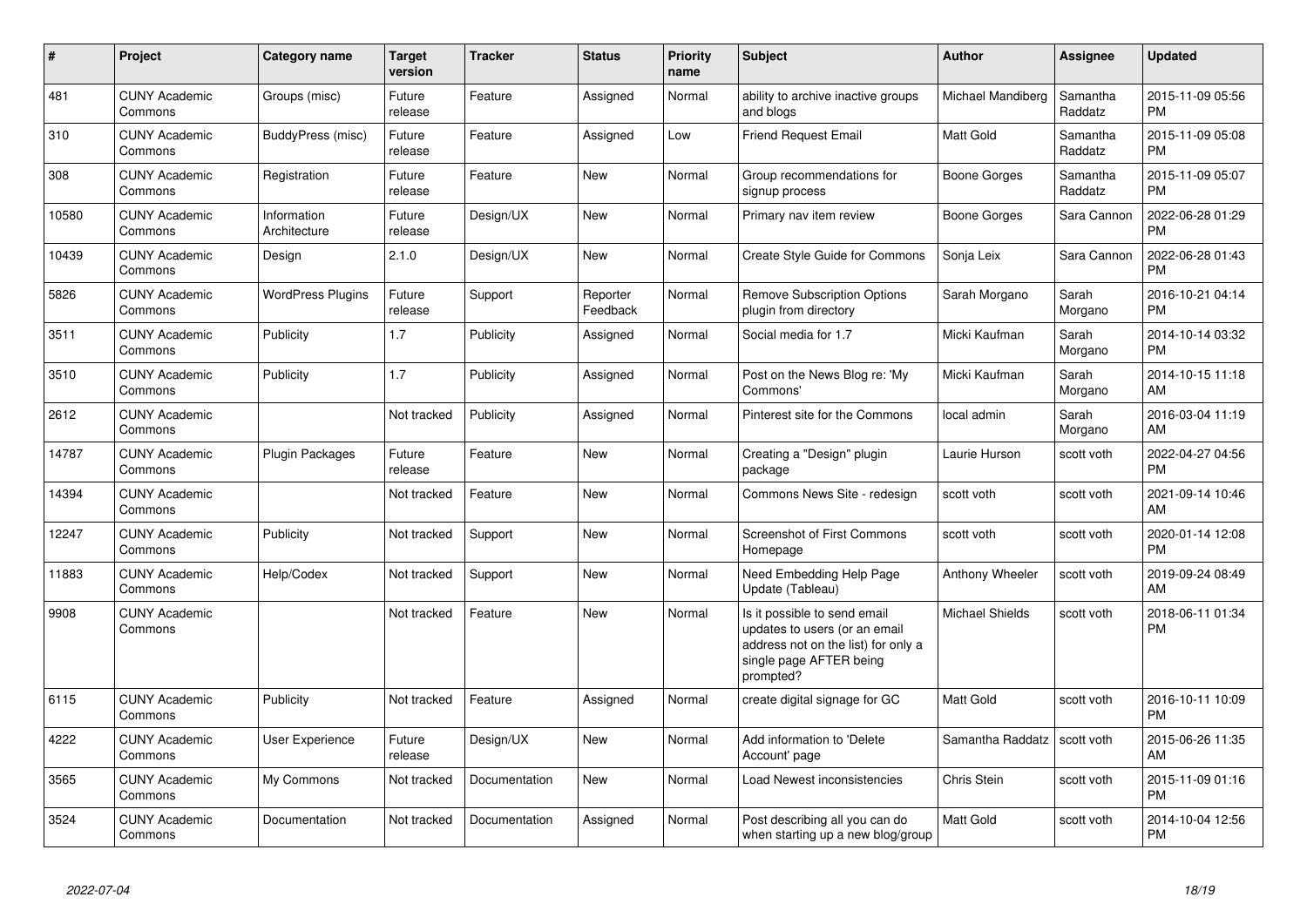| #     | <b>Project</b>                  | Category name               | Target<br>version | <b>Tracker</b> | <b>Status</b>        | <b>Priority</b><br>name | <b>Subject</b>                                                                                                                               | <b>Author</b>          | Assignee            | <b>Updated</b>                |
|-------|---------------------------------|-----------------------------|-------------------|----------------|----------------------|-------------------------|----------------------------------------------------------------------------------------------------------------------------------------------|------------------------|---------------------|-------------------------------|
| 481   | <b>CUNY Academic</b><br>Commons | Groups (misc)               | Future<br>release | Feature        | Assigned             | Normal                  | ability to archive inactive groups<br>and blogs                                                                                              | Michael Mandiberg      | Samantha<br>Raddatz | 2015-11-09 05:56<br><b>PM</b> |
| 310   | <b>CUNY Academic</b><br>Commons | BuddyPress (misc)           | Future<br>release | Feature        | Assigned             | Low                     | <b>Friend Request Email</b>                                                                                                                  | <b>Matt Gold</b>       | Samantha<br>Raddatz | 2015-11-09 05:08<br><b>PM</b> |
| 308   | <b>CUNY Academic</b><br>Commons | Registration                | Future<br>release | Feature        | <b>New</b>           | Normal                  | Group recommendations for<br>signup process                                                                                                  | Boone Gorges           | Samantha<br>Raddatz | 2015-11-09 05:07<br><b>PM</b> |
| 10580 | <b>CUNY Academic</b><br>Commons | Information<br>Architecture | Future<br>release | Design/UX      | <b>New</b>           | Normal                  | Primary nav item review                                                                                                                      | Boone Gorges           | Sara Cannon         | 2022-06-28 01:29<br><b>PM</b> |
| 10439 | <b>CUNY Academic</b><br>Commons | Design                      | 2.1.0             | Design/UX      | New                  | Normal                  | Create Style Guide for Commons                                                                                                               | Sonja Leix             | Sara Cannon         | 2022-06-28 01:43<br><b>PM</b> |
| 5826  | <b>CUNY Academic</b><br>Commons | <b>WordPress Plugins</b>    | Future<br>release | Support        | Reporter<br>Feedback | Normal                  | <b>Remove Subscription Options</b><br>plugin from directory                                                                                  | Sarah Morgano          | Sarah<br>Morgano    | 2016-10-21 04:14<br>PM.       |
| 3511  | <b>CUNY Academic</b><br>Commons | Publicity                   | 1.7               | Publicity      | Assigned             | Normal                  | Social media for 1.7                                                                                                                         | Micki Kaufman          | Sarah<br>Morgano    | 2014-10-14 03:32<br><b>PM</b> |
| 3510  | <b>CUNY Academic</b><br>Commons | Publicity                   | 1.7               | Publicity      | Assigned             | Normal                  | Post on the News Blog re: 'My<br>Commons'                                                                                                    | Micki Kaufman          | Sarah<br>Morgano    | 2014-10-15 11:18<br>AM        |
| 2612  | <b>CUNY Academic</b><br>Commons |                             | Not tracked       | Publicity      | Assigned             | Normal                  | Pinterest site for the Commons                                                                                                               | local admin            | Sarah<br>Morgano    | 2016-03-04 11:19<br>AM.       |
| 14787 | <b>CUNY Academic</b><br>Commons | Plugin Packages             | Future<br>release | Feature        | <b>New</b>           | Normal                  | Creating a "Design" plugin<br>package                                                                                                        | Laurie Hurson          | scott voth          | 2022-04-27 04:56<br><b>PM</b> |
| 14394 | <b>CUNY Academic</b><br>Commons |                             | Not tracked       | Feature        | New                  | Normal                  | Commons News Site - redesign                                                                                                                 | scott voth             | scott voth          | 2021-09-14 10:46<br>AM        |
| 12247 | <b>CUNY Academic</b><br>Commons | Publicity                   | Not tracked       | Support        | New                  | Normal                  | Screenshot of First Commons<br>Homepage                                                                                                      | scott voth             | scott voth          | 2020-01-14 12:08<br><b>PM</b> |
| 11883 | <b>CUNY Academic</b><br>Commons | Help/Codex                  | Not tracked       | Support        | New                  | Normal                  | Need Embedding Help Page<br>Update (Tableau)                                                                                                 | Anthony Wheeler        | scott voth          | 2019-09-24 08:49<br>AM.       |
| 9908  | <b>CUNY Academic</b><br>Commons |                             | Not tracked       | Feature        | <b>New</b>           | Normal                  | Is it possible to send email<br>updates to users (or an email<br>address not on the list) for only a<br>single page AFTER being<br>prompted? | <b>Michael Shields</b> | scott voth          | 2018-06-11 01:34<br><b>PM</b> |
| 6115  | <b>CUNY Academic</b><br>Commons | Publicity                   | Not tracked       | Feature        | Assigned             | Normal                  | create digital signage for GC                                                                                                                | Matt Gold              | scott voth          | 2016-10-11 10:09<br><b>PM</b> |
| 4222  | <b>CUNY Academic</b><br>Commons | User Experience             | Future<br>release | Design/UX      | New                  | Normal                  | Add information to 'Delete<br>Account' page                                                                                                  | Samantha Raddatz       | scott voth          | 2015-06-26 11:35<br>AM        |
| 3565  | <b>CUNY Academic</b><br>Commons | My Commons                  | Not tracked       | Documentation  | <b>New</b>           | Normal                  | Load Newest inconsistencies                                                                                                                  | Chris Stein            | scott voth          | 2015-11-09 01:16<br><b>PM</b> |
| 3524  | <b>CUNY Academic</b><br>Commons | Documentation               | Not tracked       | Documentation  | Assigned             | Normal                  | Post describing all you can do<br>when starting up a new blog/group                                                                          | Matt Gold              | scott voth          | 2014-10-04 12:56<br><b>PM</b> |